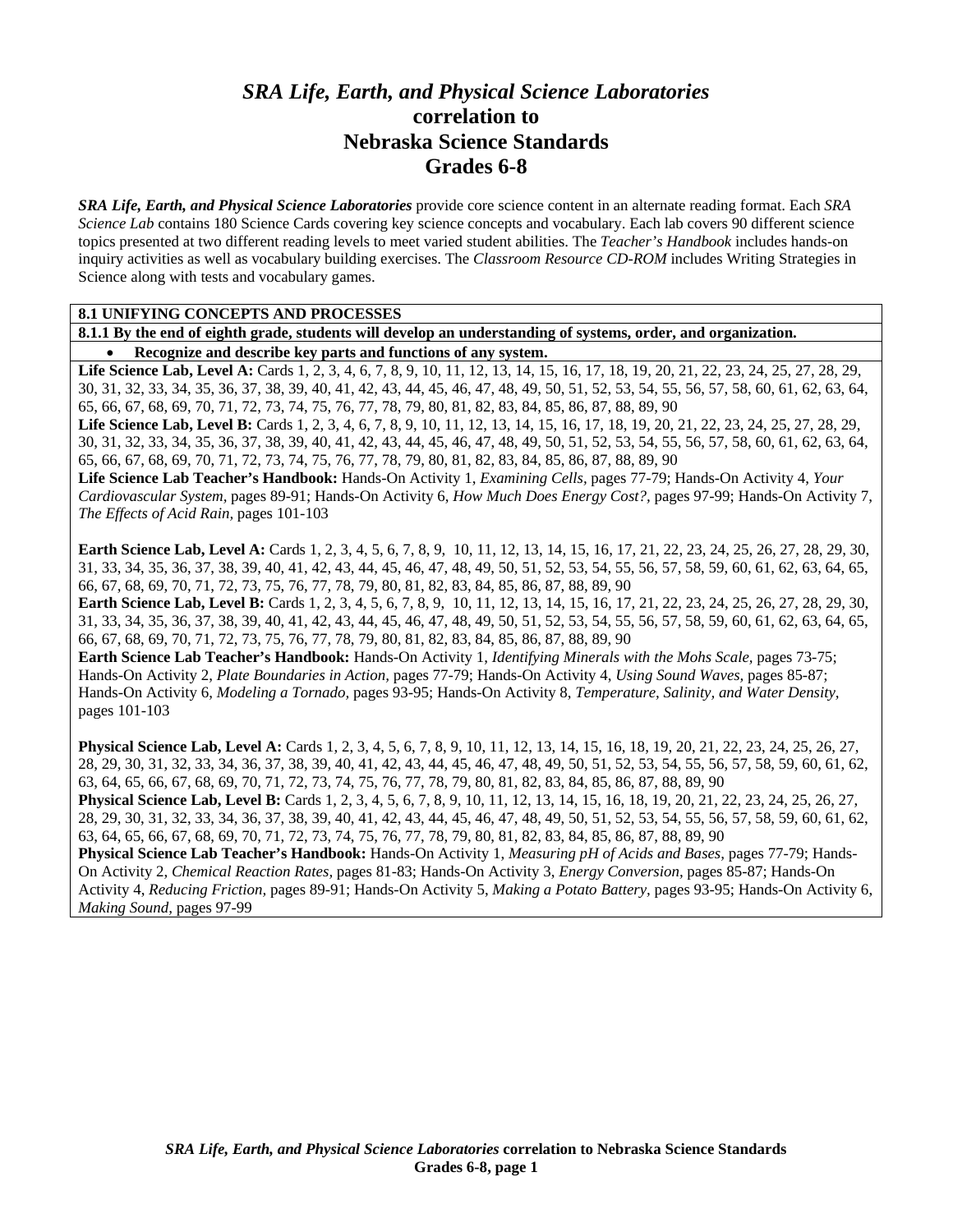# *SRA Life, Earth, and Physical Science Laboratories*  **correlation to Nebraska Science Standards Grades 6-8**

*SRA Life, Earth, and Physical Science Laboratories* provide core science content in an alternate reading format. Each *SRA Science Lab* contains 180 Science Cards covering key science concepts and vocabulary. Each lab covers 90 different science topics presented at two different reading levels to meet varied student abilities. The *Teacher's Handbook* includes hands-on inquiry activities as well as vocabulary building exercises. The *Classroom Resource CD-ROM* includes Writing Strategies in Science along with tests and vocabulary games.

#### **8.1 UNIFYING CONCEPTS AND PROCESSES**

**8.1.1 By the end of eighth grade, students will develop an understanding of systems, order, and organization.**  • **Recognize and describe key parts and functions of any system.** 

Life Science Lab, Level A: Cards 1, 2, 3, 4, 6, 7, 8, 9, 10, 11, 12, 13, 14, 15, 16, 17, 18, 19, 20, 21, 22, 23, 24, 25, 27, 28, 29, 30, 31, 32, 33, 34, 35, 36, 37, 38, 39, 40, 41, 42, 43, 44, 45, 46, 47, 48, 49, 50, 51, 52, 53, 54, 55, 56, 57, 58, 60, 61, 62, 63, 64, 65, 66, 67, 68, 69, 70, 71, 72, 73, 74, 75, 76, 77, 78, 79, 80, 81, 82, 83, 84, 85, 86, 87, 88, 89, 90 Life Science Lab, Level B: Cards 1, 2, 3, 4, 6, 7, 8, 9, 10, 11, 12, 13, 14, 15, 16, 17, 18, 19, 20, 21, 22, 23, 24, 25, 27, 28, 29,

30, 31, 32, 33, 34, 35, 36, 37, 38, 39, 40, 41, 42, 43, 44, 45, 46, 47, 48, 49, 50, 51, 52, 53, 54, 55, 56, 57, 58, 60, 61, 62, 63, 64, 65, 66, 67, 68, 69, 70, 71, 72, 73, 74, 75, 76, 77, 78, 79, 80, 81, 82, 83, 84, 85, 86, 87, 88, 89, 90

**Life Science Lab Teacher's Handbook:** Hands-On Activity 1, *Examining Cells,* pages 77-79; Hands-On Activity 4, *Your Cardiovascular System,* pages 89-91; Hands-On Activity 6, *How Much Does Energy Cost?,* pages 97-99; Hands-On Activity 7, *The Effects of Acid Rain,* pages 101-103

**Earth Science Lab, Level A:** Cards 1, 2, 3, 4, 5, 6, 7, 8, 9, 10, 11, 12, 13, 14, 15, 16, 17, 21, 22, 23, 24, 25, 26, 27, 28, 29, 30, 31, 33, 34, 35, 36, 37, 38, 39, 40, 41, 42, 43, 44, 45, 46, 47, 48, 49, 50, 51, 52, 53, 54, 55, 56, 57, 58, 59, 60, 61, 62, 63, 64, 65, 66, 67, 68, 69, 70, 71, 72, 73, 75, 76, 77, 78, 79, 80, 81, 82, 83, 84, 85, 86, 87, 88, 89, 90

**Earth Science Lab, Level B:** Cards 1, 2, 3, 4, 5, 6, 7, 8, 9, 10, 11, 12, 13, 14, 15, 16, 17, 21, 22, 23, 24, 25, 26, 27, 28, 29, 30, 31, 33, 34, 35, 36, 37, 38, 39, 40, 41, 42, 43, 44, 45, 46, 47, 48, 49, 50, 51, 52, 53, 54, 55, 56, 57, 58, 59, 60, 61, 62, 63, 64, 65, 66, 67, 68, 69, 70, 71, 72, 73, 75, 76, 77, 78, 79, 80, 81, 82, 83, 84, 85, 86, 87, 88, 89, 90

**Earth Science Lab Teacher's Handbook:** Hands-On Activity 1, *Identifying Minerals with the Mohs Scale,* pages 73-75; Hands-On Activity 2, *Plate Boundaries in Action,* pages 77-79; Hands-On Activity 4, *Using Sound Waves,* pages 85-87; Hands-On Activity 6, *Modeling a Tornado,* pages 93-95; Hands-On Activity 8, *Temperature, Salinity, and Water Density,* pages 101-103

**Physical Science Lab, Level A:** Cards 1, 2, 3, 4, 5, 6, 7, 8, 9, 10, 11, 12, 13, 14, 15, 16, 18, 19, 20, 21, 22, 23, 24, 25, 26, 27, 28, 29, 30, 31, 32, 33, 34, 36, 37, 38, 39, 40, 41, 42, 43, 44, 45, 46, 47, 48, 49, 50, 51, 52, 53, 54, 55, 56, 57, 58, 59, 60, 61, 62, 63, 64, 65, 66, 67, 68, 69, 70, 71, 72, 73, 74, 75, 76, 77, 78, 79, 80, 81, 82, 83, 84, 85, 86, 87, 88, 89, 90

**Physical Science Lab, Level B:** Cards 1, 2, 3, 4, 5, 6, 7, 8, 9, 10, 11, 12, 13, 14, 15, 16, 18, 19, 20, 21, 22, 23, 24, 25, 26, 27, 28, 29, 30, 31, 32, 33, 34, 36, 37, 38, 39, 40, 41, 42, 43, 44, 45, 46, 47, 48, 49, 50, 51, 52, 53, 54, 55, 56, 57, 58, 59, 60, 61, 62, 63, 64, 65, 66, 67, 68, 69, 70, 71, 72, 73, 74, 75, 76, 77, 78, 79, 80, 81, 82, 83, 84, 85, 86, 87, 88, 89, 90

**Physical Science Lab Teacher's Handbook:** Hands-On Activity 1, *Measuring pH of Acids and Bases,* pages 77-79; Hands-On Activity 2, *Chemical Reaction Rates,* pages 81-83; Hands-On Activity 3, *Energy Conversion,* pages 85-87; Hands-On Activity 4, *Reducing Friction,* pages 89-91; Hands-On Activity 5, *Making a Potato Battery,* pages 93-95; Hands-On Activity 6, *Making Sound,* pages 97-99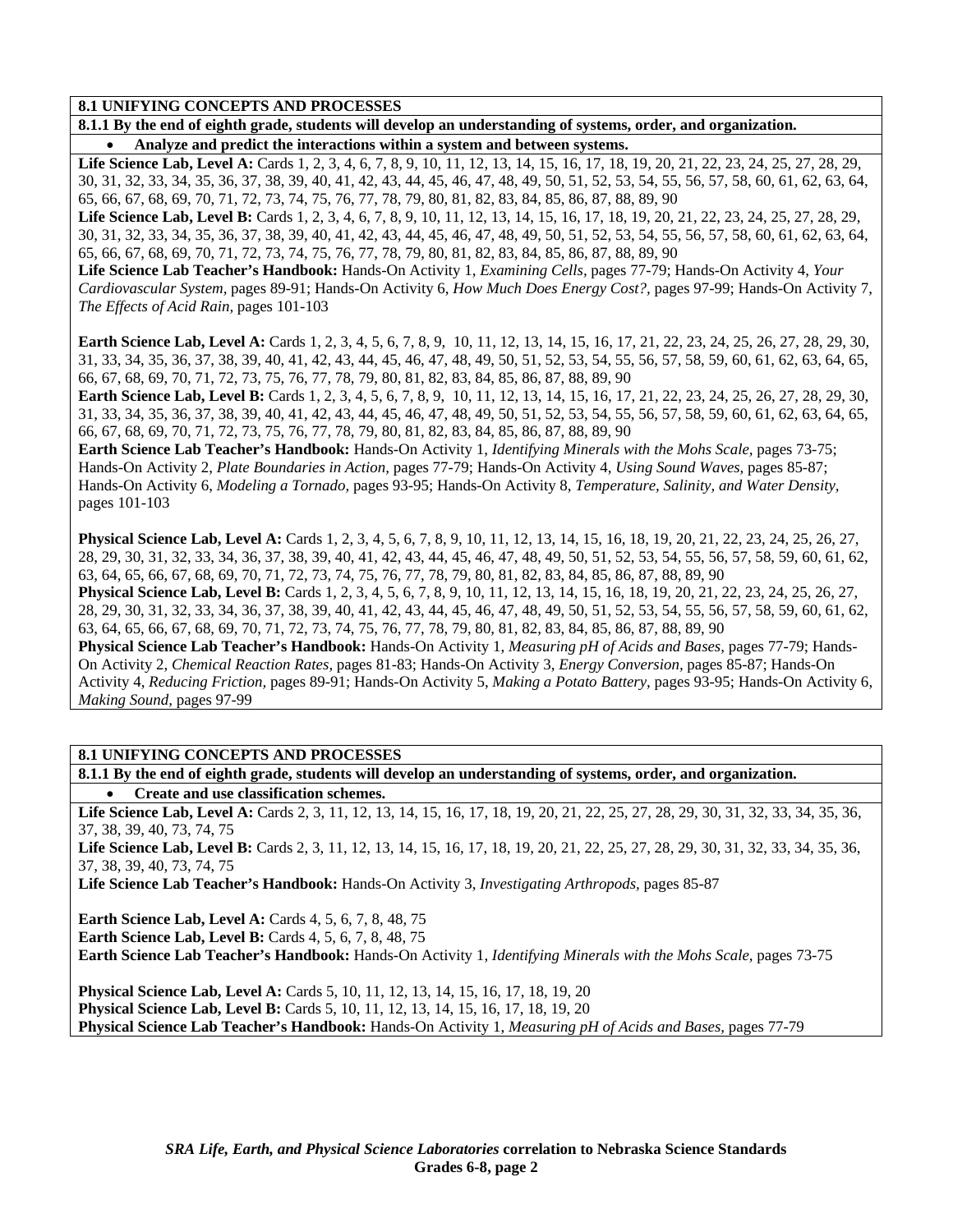**8.1.1 By the end of eighth grade, students will develop an understanding of systems, order, and organization.**  • **Analyze and predict the interactions within a system and between systems.** 

Life Science Lab, Level A: Cards 1, 2, 3, 4, 6, 7, 8, 9, 10, 11, 12, 13, 14, 15, 16, 17, 18, 19, 20, 21, 22, 23, 24, 25, 27, 28, 29, 30, 31, 32, 33, 34, 35, 36, 37, 38, 39, 40, 41, 42, 43, 44, 45, 46, 47, 48, 49, 50, 51, 52, 53, 54, 55, 56, 57, 58, 60, 61, 62, 63, 64, 65, 66, 67, 68, 69, 70, 71, 72, 73, 74, 75, 76, 77, 78, 79, 80, 81, 82, 83, 84, 85, 86, 87, 88, 89, 90

Life Science Lab, Level B: Cards 1, 2, 3, 4, 6, 7, 8, 9, 10, 11, 12, 13, 14, 15, 16, 17, 18, 19, 20, 21, 22, 23, 24, 25, 27, 28, 29, 30, 31, 32, 33, 34, 35, 36, 37, 38, 39, 40, 41, 42, 43, 44, 45, 46, 47, 48, 49, 50, 51, 52, 53, 54, 55, 56, 57, 58, 60, 61, 62, 63, 64, 65, 66, 67, 68, 69, 70, 71, 72, 73, 74, 75, 76, 77, 78, 79, 80, 81, 82, 83, 84, 85, 86, 87, 88, 89, 90

**Life Science Lab Teacher's Handbook:** Hands-On Activity 1, *Examining Cells,* pages 77-79; Hands-On Activity 4, *Your Cardiovascular System,* pages 89-91; Hands-On Activity 6, *How Much Does Energy Cost?,* pages 97-99; Hands-On Activity 7, *The Effects of Acid Rain,* pages 101-103

**Earth Science Lab, Level A:** Cards 1, 2, 3, 4, 5, 6, 7, 8, 9, 10, 11, 12, 13, 14, 15, 16, 17, 21, 22, 23, 24, 25, 26, 27, 28, 29, 30, 31, 33, 34, 35, 36, 37, 38, 39, 40, 41, 42, 43, 44, 45, 46, 47, 48, 49, 50, 51, 52, 53, 54, 55, 56, 57, 58, 59, 60, 61, 62, 63, 64, 65, 66, 67, 68, 69, 70, 71, 72, 73, 75, 76, 77, 78, 79, 80, 81, 82, 83, 84, 85, 86, 87, 88, 89, 90

**Earth Science Lab, Level B:** Cards 1, 2, 3, 4, 5, 6, 7, 8, 9, 10, 11, 12, 13, 14, 15, 16, 17, 21, 22, 23, 24, 25, 26, 27, 28, 29, 30, 31, 33, 34, 35, 36, 37, 38, 39, 40, 41, 42, 43, 44, 45, 46, 47, 48, 49, 50, 51, 52, 53, 54, 55, 56, 57, 58, 59, 60, 61, 62, 63, 64, 65, 66, 67, 68, 69, 70, 71, 72, 73, 75, 76, 77, 78, 79, 80, 81, 82, 83, 84, 85, 86, 87, 88, 89, 90

**Earth Science Lab Teacher's Handbook:** Hands-On Activity 1, *Identifying Minerals with the Mohs Scale,* pages 73-75; Hands-On Activity 2, *Plate Boundaries in Action,* pages 77-79; Hands-On Activity 4, *Using Sound Waves,* pages 85-87; Hands-On Activity 6, *Modeling a Tornado,* pages 93-95; Hands-On Activity 8, *Temperature, Salinity, and Water Density,* pages 101-103

**Physical Science Lab, Level A:** Cards 1, 2, 3, 4, 5, 6, 7, 8, 9, 10, 11, 12, 13, 14, 15, 16, 18, 19, 20, 21, 22, 23, 24, 25, 26, 27, 28, 29, 30, 31, 32, 33, 34, 36, 37, 38, 39, 40, 41, 42, 43, 44, 45, 46, 47, 48, 49, 50, 51, 52, 53, 54, 55, 56, 57, 58, 59, 60, 61, 62, 63, 64, 65, 66, 67, 68, 69, 70, 71, 72, 73, 74, 75, 76, 77, 78, 79, 80, 81, 82, 83, 84, 85, 86, 87, 88, 89, 90 **Physical Science Lab, Level B:** Cards 1, 2, 3, 4, 5, 6, 7, 8, 9, 10, 11, 12, 13, 14, 15, 16, 18, 19, 20, 21, 22, 23, 24, 25, 26, 27, 28, 29, 30, 31, 32, 33, 34, 36, 37, 38, 39, 40, 41, 42, 43, 44, 45, 46, 47, 48, 49, 50, 51, 52, 53, 54, 55, 56, 57, 58, 59, 60, 61, 62, 63, 64, 65, 66, 67, 68, 69, 70, 71, 72, 73, 74, 75, 76, 77, 78, 79, 80, 81, 82, 83, 84, 85, 86, 87, 88, 89, 90 **Physical Science Lab Teacher's Handbook:** Hands-On Activity 1, *Measuring pH of Acids and Bases,* pages 77-79; Hands-On Activity 2, *Chemical Reaction Rates,* pages 81-83; Hands-On Activity 3, *Energy Conversion,* pages 85-87; Hands-On Activity 4, *Reducing Friction,* pages 89-91; Hands-On Activity 5, *Making a Potato Battery,* pages 93-95; Hands-On Activity 6, *Making Sound,* pages 97-99

**8.1 UNIFYING CONCEPTS AND PROCESSES** 

**8.1.1 By the end of eighth grade, students will develop an understanding of systems, order, and organization.**  • **Create and use classification schemes.** 

Life Science Lab, Level A: Cards 2, 3, 11, 12, 13, 14, 15, 16, 17, 18, 19, 20, 21, 22, 25, 27, 28, 29, 30, 31, 32, 33, 34, 35, 36, 37, 38, 39, 40, 73, 74, 75

Life Science Lab, Level B: Cards 2, 3, 11, 12, 13, 14, 15, 16, 17, 18, 19, 20, 21, 22, 25, 27, 28, 29, 30, 31, 32, 33, 34, 35, 36, 37, 38, 39, 40, 73, 74, 75

**Life Science Lab Teacher's Handbook:** Hands-On Activity 3, *Investigating Arthropods,* pages 85-87

**Earth Science Lab, Level A: Cards 4, 5, 6, 7, 8, 48, 75 Earth Science Lab, Level B:** Cards 4, 5, 6, 7, 8, 48, 75 **Earth Science Lab Teacher's Handbook:** Hands-On Activity 1, *Identifying Minerals with the Mohs Scale,* pages 73-75

**Physical Science Lab, Level A:** Cards 5, 10, 11, 12, 13, 14, 15, 16, 17, 18, 19, 20 **Physical Science Lab, Level B:** Cards 5, 10, 11, 12, 13, 14, 15, 16, 17, 18, 19, 20 **Physical Science Lab Teacher's Handbook:** Hands-On Activity 1, *Measuring pH of Acids and Bases,* pages 77-79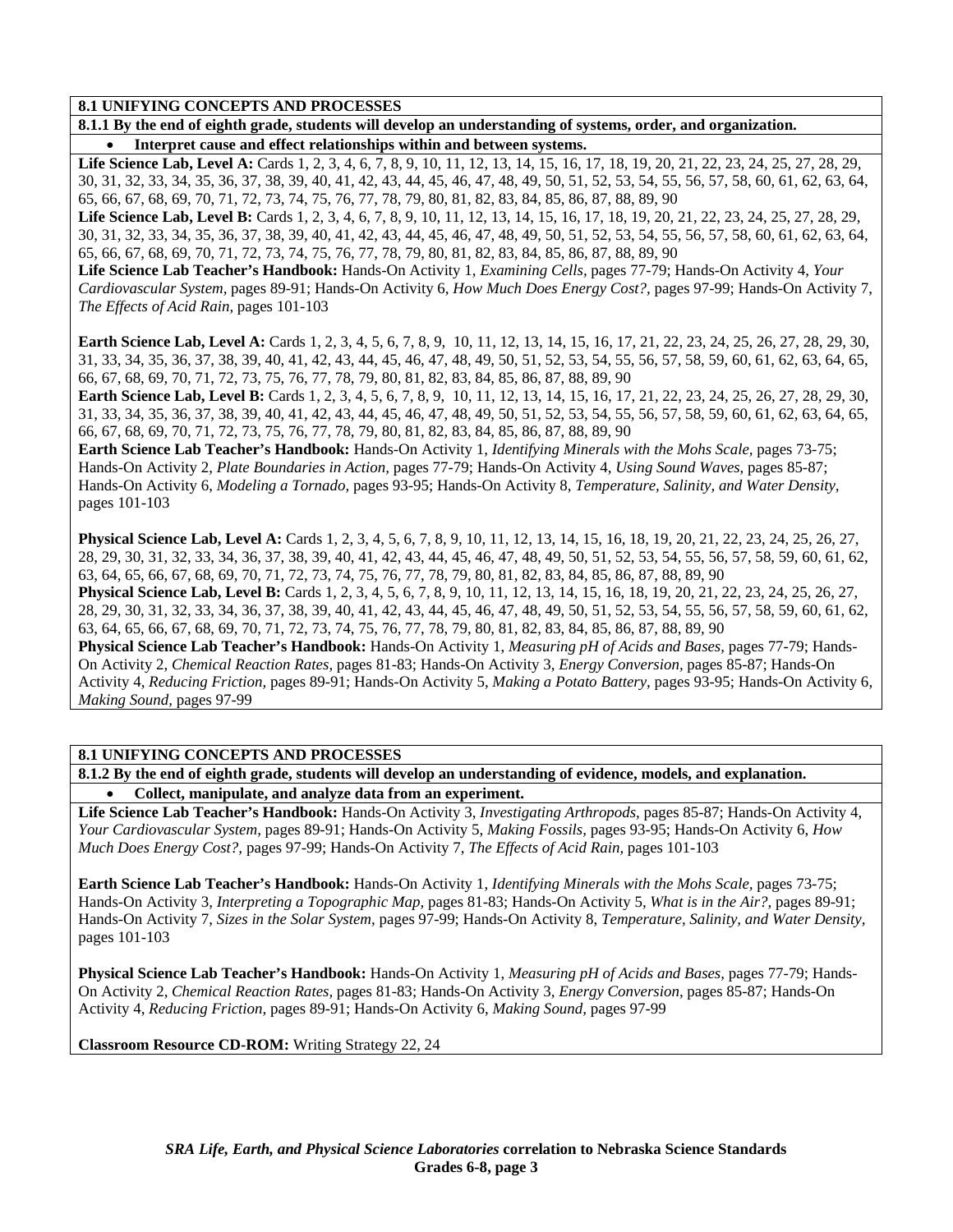**8.1.1 By the end of eighth grade, students will develop an understanding of systems, order, and organization.**  • **Interpret cause and effect relationships within and between systems.** 

Life Science Lab, Level A: Cards 1, 2, 3, 4, 6, 7, 8, 9, 10, 11, 12, 13, 14, 15, 16, 17, 18, 19, 20, 21, 22, 23, 24, 25, 27, 28, 29, 30, 31, 32, 33, 34, 35, 36, 37, 38, 39, 40, 41, 42, 43, 44, 45, 46, 47, 48, 49, 50, 51, 52, 53, 54, 55, 56, 57, 58, 60, 61, 62, 63, 64, 65, 66, 67, 68, 69, 70, 71, 72, 73, 74, 75, 76, 77, 78, 79, 80, 81, 82, 83, 84, 85, 86, 87, 88, 89, 90

Life Science Lab, Level B: Cards 1, 2, 3, 4, 6, 7, 8, 9, 10, 11, 12, 13, 14, 15, 16, 17, 18, 19, 20, 21, 22, 23, 24, 25, 27, 28, 29, 30, 31, 32, 33, 34, 35, 36, 37, 38, 39, 40, 41, 42, 43, 44, 45, 46, 47, 48, 49, 50, 51, 52, 53, 54, 55, 56, 57, 58, 60, 61, 62, 63, 64, 65, 66, 67, 68, 69, 70, 71, 72, 73, 74, 75, 76, 77, 78, 79, 80, 81, 82, 83, 84, 85, 86, 87, 88, 89, 90

**Life Science Lab Teacher's Handbook:** Hands-On Activity 1, *Examining Cells,* pages 77-79; Hands-On Activity 4, *Your Cardiovascular System,* pages 89-91; Hands-On Activity 6, *How Much Does Energy Cost?,* pages 97-99; Hands-On Activity 7, *The Effects of Acid Rain,* pages 101-103

**Earth Science Lab, Level A:** Cards 1, 2, 3, 4, 5, 6, 7, 8, 9, 10, 11, 12, 13, 14, 15, 16, 17, 21, 22, 23, 24, 25, 26, 27, 28, 29, 30, 31, 33, 34, 35, 36, 37, 38, 39, 40, 41, 42, 43, 44, 45, 46, 47, 48, 49, 50, 51, 52, 53, 54, 55, 56, 57, 58, 59, 60, 61, 62, 63, 64, 65, 66, 67, 68, 69, 70, 71, 72, 73, 75, 76, 77, 78, 79, 80, 81, 82, 83, 84, 85, 86, 87, 88, 89, 90

**Earth Science Lab, Level B:** Cards 1, 2, 3, 4, 5, 6, 7, 8, 9, 10, 11, 12, 13, 14, 15, 16, 17, 21, 22, 23, 24, 25, 26, 27, 28, 29, 30, 31, 33, 34, 35, 36, 37, 38, 39, 40, 41, 42, 43, 44, 45, 46, 47, 48, 49, 50, 51, 52, 53, 54, 55, 56, 57, 58, 59, 60, 61, 62, 63, 64, 65, 66, 67, 68, 69, 70, 71, 72, 73, 75, 76, 77, 78, 79, 80, 81, 82, 83, 84, 85, 86, 87, 88, 89, 90

**Earth Science Lab Teacher's Handbook:** Hands-On Activity 1, *Identifying Minerals with the Mohs Scale,* pages 73-75; Hands-On Activity 2, *Plate Boundaries in Action,* pages 77-79; Hands-On Activity 4, *Using Sound Waves,* pages 85-87; Hands-On Activity 6, *Modeling a Tornado,* pages 93-95; Hands-On Activity 8, *Temperature, Salinity, and Water Density,* pages 101-103

**Physical Science Lab, Level A:** Cards 1, 2, 3, 4, 5, 6, 7, 8, 9, 10, 11, 12, 13, 14, 15, 16, 18, 19, 20, 21, 22, 23, 24, 25, 26, 27, 28, 29, 30, 31, 32, 33, 34, 36, 37, 38, 39, 40, 41, 42, 43, 44, 45, 46, 47, 48, 49, 50, 51, 52, 53, 54, 55, 56, 57, 58, 59, 60, 61, 62, 63, 64, 65, 66, 67, 68, 69, 70, 71, 72, 73, 74, 75, 76, 77, 78, 79, 80, 81, 82, 83, 84, 85, 86, 87, 88, 89, 90 **Physical Science Lab, Level B:** Cards 1, 2, 3, 4, 5, 6, 7, 8, 9, 10, 11, 12, 13, 14, 15, 16, 18, 19, 20, 21, 22, 23, 24, 25, 26, 27, 28, 29, 30, 31, 32, 33, 34, 36, 37, 38, 39, 40, 41, 42, 43, 44, 45, 46, 47, 48, 49, 50, 51, 52, 53, 54, 55, 56, 57, 58, 59, 60, 61, 62, 63, 64, 65, 66, 67, 68, 69, 70, 71, 72, 73, 74, 75, 76, 77, 78, 79, 80, 81, 82, 83, 84, 85, 86, 87, 88, 89, 90 **Physical Science Lab Teacher's Handbook:** Hands-On Activity 1, *Measuring pH of Acids and Bases,* pages 77-79; Hands-On Activity 2, *Chemical Reaction Rates,* pages 81-83; Hands-On Activity 3, *Energy Conversion,* pages 85-87; Hands-On Activity 4, *Reducing Friction,* pages 89-91; Hands-On Activity 5, *Making a Potato Battery,* pages 93-95; Hands-On Activity 6, *Making Sound,* pages 97-99

**8.1 UNIFYING CONCEPTS AND PROCESSES** 

**8.1.2 By the end of eighth grade, students will develop an understanding of evidence, models, and explanation.**  • **Collect, manipulate, and analyze data from an experiment.** 

**Life Science Lab Teacher's Handbook:** Hands-On Activity 3, *Investigating Arthropods,* pages 85-87; Hands-On Activity 4, *Your Cardiovascular System,* pages 89-91; Hands-On Activity 5, *Making Fossils,* pages 93-95; Hands-On Activity 6, *How Much Does Energy Cost?,* pages 97-99; Hands-On Activity 7, *The Effects of Acid Rain,* pages 101-103

**Earth Science Lab Teacher's Handbook:** Hands-On Activity 1, *Identifying Minerals with the Mohs Scale,* pages 73-75; Hands-On Activity 3, *Interpreting a Topographic Map,* pages 81-83; Hands-On Activity 5, *What is in the Air?,* pages 89-91; Hands-On Activity 7, *Sizes in the Solar System,* pages 97-99; Hands-On Activity 8, *Temperature, Salinity, and Water Density,* pages 101-103

**Physical Science Lab Teacher's Handbook:** Hands-On Activity 1, *Measuring pH of Acids and Bases,* pages 77-79; Hands-On Activity 2, *Chemical Reaction Rates,* pages 81-83; Hands-On Activity 3, *Energy Conversion,* pages 85-87; Hands-On Activity 4, *Reducing Friction,* pages 89-91; Hands-On Activity 6, *Making Sound,* pages 97-99

**Classroom Resource CD-ROM:** Writing Strategy 22, 24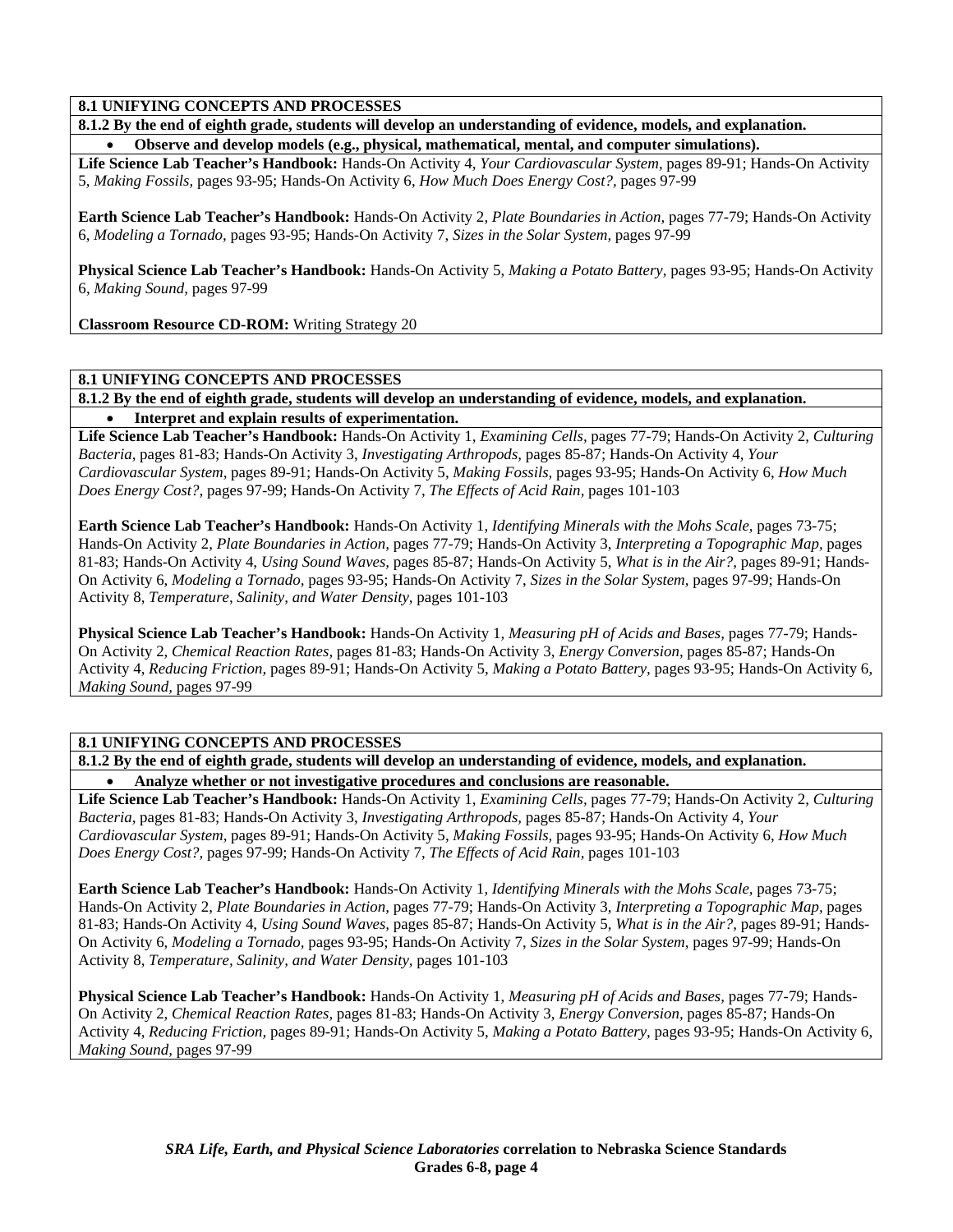**8.1.2 By the end of eighth grade, students will develop an understanding of evidence, models, and explanation.**  • **Observe and develop models (e.g., physical, mathematical, mental, and computer simulations).** 

**Life Science Lab Teacher's Handbook:** Hands-On Activity 4, *Your Cardiovascular System,* pages 89-91; Hands-On Activity 5, *Making Fossils,* pages 93-95; Hands-On Activity 6, *How Much Does Energy Cost?,* pages 97-99

**Earth Science Lab Teacher's Handbook:** Hands-On Activity 2, *Plate Boundaries in Action,* pages 77-79; Hands-On Activity 6, *Modeling a Tornado,* pages 93-95; Hands-On Activity 7, *Sizes in the Solar System,* pages 97-99

**Physical Science Lab Teacher's Handbook:** Hands-On Activity 5, *Making a Potato Battery,* pages 93-95; Hands-On Activity 6, *Making Sound,* pages 97-99

**Classroom Resource CD-ROM:** Writing Strategy 20

### **8.1 UNIFYING CONCEPTS AND PROCESSES**

**8.1.2 By the end of eighth grade, students will develop an understanding of evidence, models, and explanation.**  • **Interpret and explain results of experimentation.** 

**Life Science Lab Teacher's Handbook:** Hands-On Activity 1, *Examining Cells,* pages 77-79; Hands-On Activity 2, *Culturing Bacteria,* pages 81-83; Hands-On Activity 3, *Investigating Arthropods,* pages 85-87; Hands-On Activity 4, *Your Cardiovascular System,* pages 89-91; Hands-On Activity 5, *Making Fossils,* pages 93-95; Hands-On Activity 6, *How Much Does Energy Cost?,* pages 97-99; Hands-On Activity 7, *The Effects of Acid Rain,* pages 101-103

**Earth Science Lab Teacher's Handbook:** Hands-On Activity 1, *Identifying Minerals with the Mohs Scale,* pages 73-75; Hands-On Activity 2, *Plate Boundaries in Action,* pages 77-79; Hands-On Activity 3, *Interpreting a Topographic Map,* pages 81-83; Hands-On Activity 4, *Using Sound Waves,* pages 85-87; Hands-On Activity 5, *What is in the Air?,* pages 89-91; Hands-On Activity 6, *Modeling a Tornado,* pages 93-95; Hands-On Activity 7, *Sizes in the Solar System,* pages 97-99; Hands-On Activity 8, *Temperature, Salinity, and Water Density,* pages 101-103

**Physical Science Lab Teacher's Handbook:** Hands-On Activity 1, *Measuring pH of Acids and Bases,* pages 77-79; Hands-On Activity 2, *Chemical Reaction Rates,* pages 81-83; Hands-On Activity 3, *Energy Conversion,* pages 85-87; Hands-On Activity 4, *Reducing Friction,* pages 89-91; Hands-On Activity 5, *Making a Potato Battery,* pages 93-95; Hands-On Activity 6, *Making Sound,* pages 97-99

#### **8.1 UNIFYING CONCEPTS AND PROCESSES**

**8.1.2 By the end of eighth grade, students will develop an understanding of evidence, models, and explanation.**  • **Analyze whether or not investigative procedures and conclusions are reasonable.** 

**Life Science Lab Teacher's Handbook:** Hands-On Activity 1, *Examining Cells,* pages 77-79; Hands-On Activity 2, *Culturing Bacteria,* pages 81-83; Hands-On Activity 3, *Investigating Arthropods,* pages 85-87; Hands-On Activity 4, *Your Cardiovascular System,* pages 89-91; Hands-On Activity 5, *Making Fossils,* pages 93-95; Hands-On Activity 6, *How Much Does Energy Cost?,* pages 97-99; Hands-On Activity 7, *The Effects of Acid Rain,* pages 101-103

**Earth Science Lab Teacher's Handbook:** Hands-On Activity 1, *Identifying Minerals with the Mohs Scale,* pages 73-75; Hands-On Activity 2, *Plate Boundaries in Action,* pages 77-79; Hands-On Activity 3, *Interpreting a Topographic Map,* pages 81-83; Hands-On Activity 4, *Using Sound Waves,* pages 85-87; Hands-On Activity 5, *What is in the Air?,* pages 89-91; Hands-On Activity 6, *Modeling a Tornado,* pages 93-95; Hands-On Activity 7, *Sizes in the Solar System,* pages 97-99; Hands-On Activity 8, *Temperature, Salinity, and Water Density,* pages 101-103

**Physical Science Lab Teacher's Handbook:** Hands-On Activity 1, *Measuring pH of Acids and Bases,* pages 77-79; Hands-On Activity 2, *Chemical Reaction Rates,* pages 81-83; Hands-On Activity 3, *Energy Conversion,* pages 85-87; Hands-On Activity 4, *Reducing Friction,* pages 89-91; Hands-On Activity 5, *Making a Potato Battery,* pages 93-95; Hands-On Activity 6, *Making Sound,* pages 97-99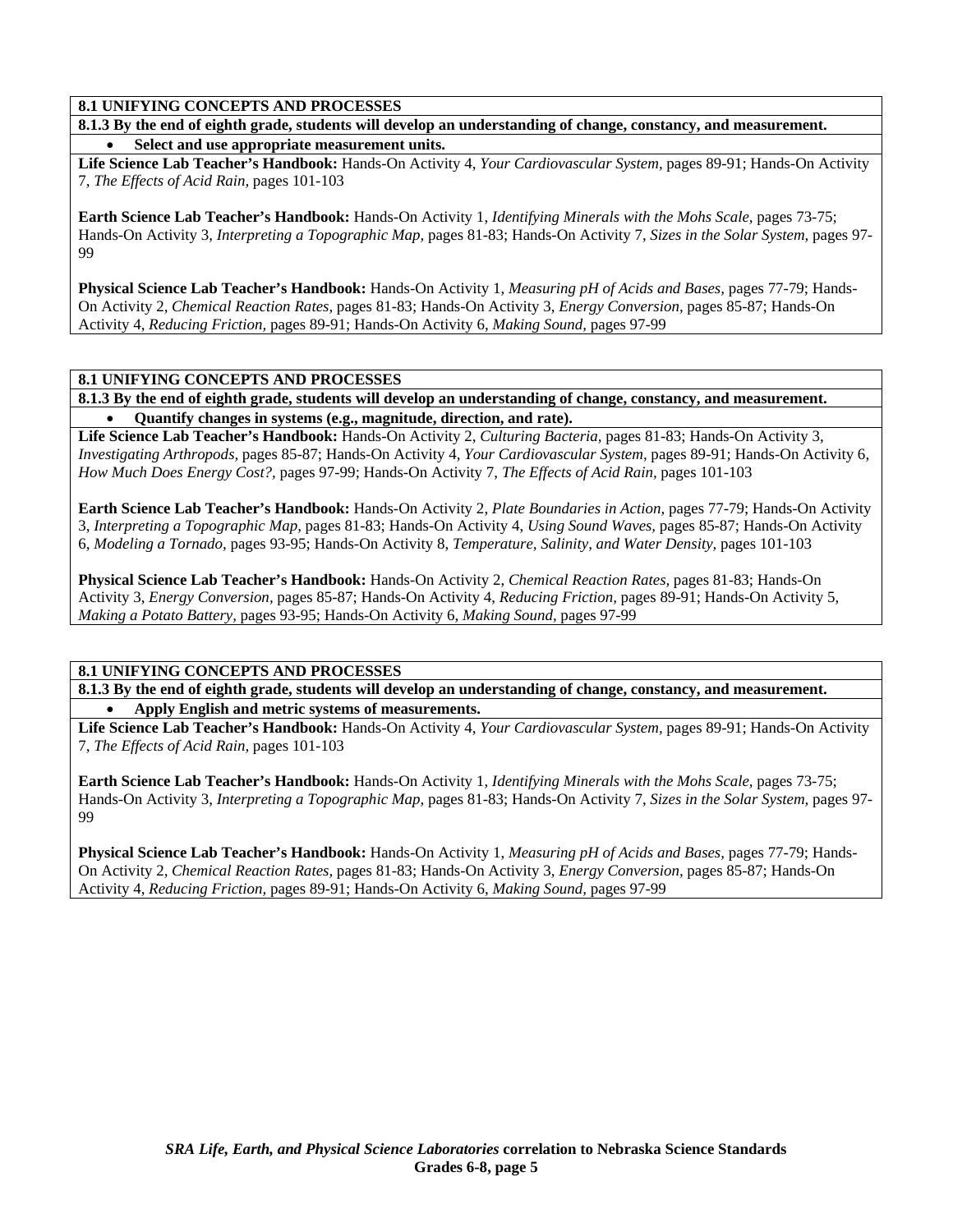**8.1.3 By the end of eighth grade, students will develop an understanding of change, constancy, and measurement.**  • **Select and use appropriate measurement units.** 

**Life Science Lab Teacher's Handbook:** Hands-On Activity 4, *Your Cardiovascular System,* pages 89-91; Hands-On Activity 7, *The Effects of Acid Rain,* pages 101-103

**Earth Science Lab Teacher's Handbook:** Hands-On Activity 1, *Identifying Minerals with the Mohs Scale,* pages 73-75; Hands-On Activity 3, *Interpreting a Topographic Map,* pages 81-83; Hands-On Activity 7, *Sizes in the Solar System,* pages 97- 99

**Physical Science Lab Teacher's Handbook:** Hands-On Activity 1, *Measuring pH of Acids and Bases,* pages 77-79; Hands-On Activity 2, *Chemical Reaction Rates,* pages 81-83; Hands-On Activity 3, *Energy Conversion,* pages 85-87; Hands-On Activity 4, *Reducing Friction,* pages 89-91; Hands-On Activity 6, *Making Sound,* pages 97-99

### **8.1 UNIFYING CONCEPTS AND PROCESSES**

**8.1.3 By the end of eighth grade, students will develop an understanding of change, constancy, and measurement.**  • **Quantify changes in systems (e.g., magnitude, direction, and rate).** 

**Life Science Lab Teacher's Handbook:** Hands-On Activity 2, *Culturing Bacteria,* pages 81-83; Hands-On Activity 3, *Investigating Arthropods,* pages 85-87; Hands-On Activity 4, *Your Cardiovascular System,* pages 89-91; Hands-On Activity 6, *How Much Does Energy Cost?,* pages 97-99; Hands-On Activity 7, *The Effects of Acid Rain,* pages 101-103

**Earth Science Lab Teacher's Handbook:** Hands-On Activity 2, *Plate Boundaries in Action,* pages 77-79; Hands-On Activity 3, *Interpreting a Topographic Map,* pages 81-83; Hands-On Activity 4, *Using Sound Waves,* pages 85-87; Hands-On Activity 6, *Modeling a Tornado,* pages 93-95; Hands-On Activity 8, *Temperature, Salinity, and Water Density,* pages 101-103

**Physical Science Lab Teacher's Handbook:** Hands-On Activity 2, *Chemical Reaction Rates,* pages 81-83; Hands-On Activity 3, *Energy Conversion,* pages 85-87; Hands-On Activity 4, *Reducing Friction,* pages 89-91; Hands-On Activity 5, *Making a Potato Battery,* pages 93-95; Hands-On Activity 6, *Making Sound,* pages 97-99

**8.1 UNIFYING CONCEPTS AND PROCESSES** 

**8.1.3 By the end of eighth grade, students will develop an understanding of change, constancy, and measurement.**  • **Apply English and metric systems of measurements.** 

**Life Science Lab Teacher's Handbook:** Hands-On Activity 4, *Your Cardiovascular System,* pages 89-91; Hands-On Activity 7, *The Effects of Acid Rain,* pages 101-103

**Earth Science Lab Teacher's Handbook:** Hands-On Activity 1, *Identifying Minerals with the Mohs Scale,* pages 73-75; Hands-On Activity 3, *Interpreting a Topographic Map,* pages 81-83; Hands-On Activity 7, *Sizes in the Solar System,* pages 97- 99

**Physical Science Lab Teacher's Handbook:** Hands-On Activity 1, *Measuring pH of Acids and Bases,* pages 77-79; Hands-On Activity 2, *Chemical Reaction Rates,* pages 81-83; Hands-On Activity 3, *Energy Conversion,* pages 85-87; Hands-On Activity 4, *Reducing Friction,* pages 89-91; Hands-On Activity 6, *Making Sound,* pages 97-99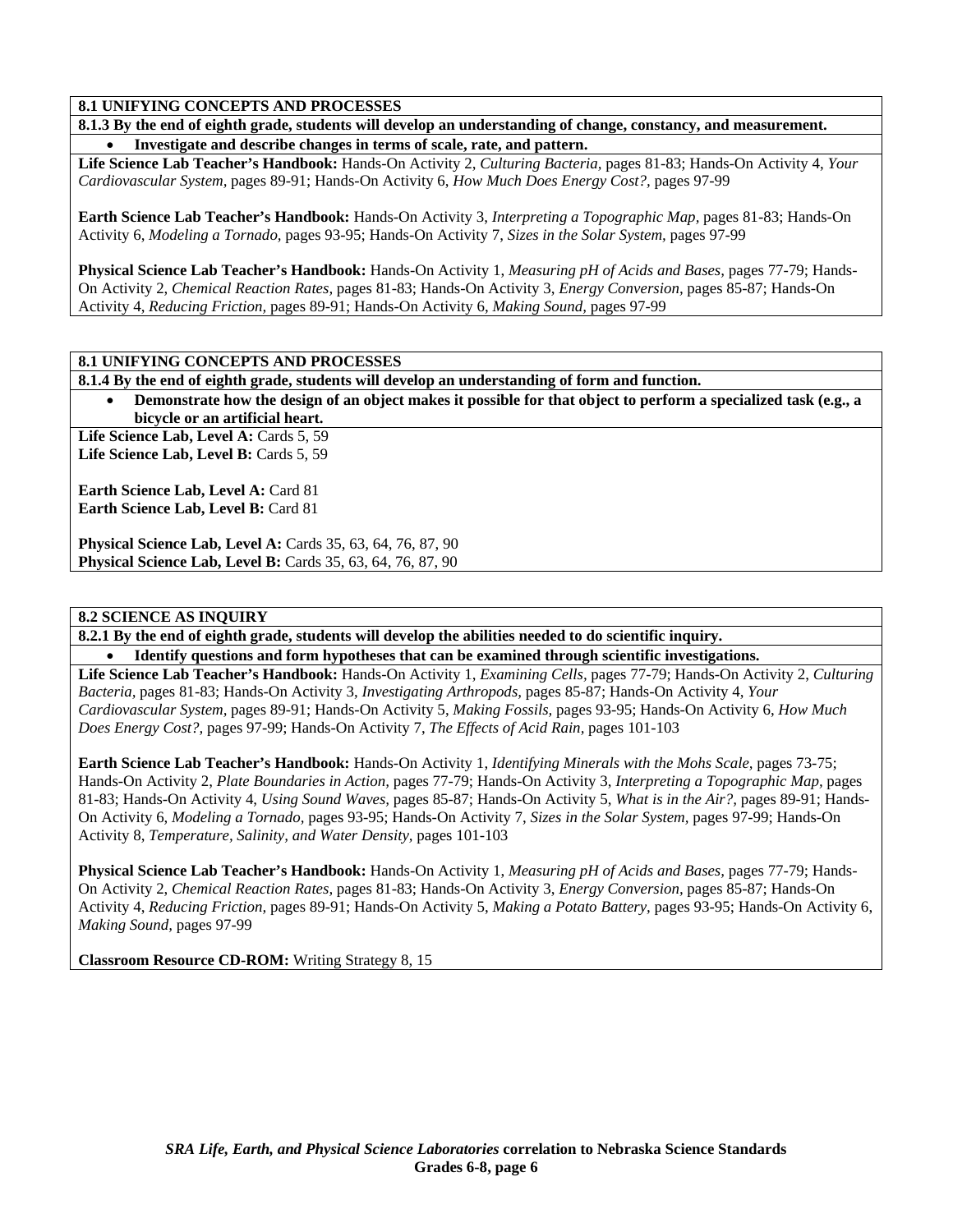**8.1.3 By the end of eighth grade, students will develop an understanding of change, constancy, and measurement.**  • **Investigate and describe changes in terms of scale, rate, and pattern.** 

**Life Science Lab Teacher's Handbook:** Hands-On Activity 2, *Culturing Bacteria,* pages 81-83; Hands-On Activity 4, *Your Cardiovascular System,* pages 89-91; Hands-On Activity 6, *How Much Does Energy Cost?,* pages 97-99

**Earth Science Lab Teacher's Handbook:** Hands-On Activity 3, *Interpreting a Topographic Map,* pages 81-83; Hands-On Activity 6, *Modeling a Tornado,* pages 93-95; Hands-On Activity 7, *Sizes in the Solar System,* pages 97-99

**Physical Science Lab Teacher's Handbook:** Hands-On Activity 1, *Measuring pH of Acids and Bases,* pages 77-79; Hands-On Activity 2, *Chemical Reaction Rates,* pages 81-83; Hands-On Activity 3, *Energy Conversion,* pages 85-87; Hands-On Activity 4, *Reducing Friction,* pages 89-91; Hands-On Activity 6, *Making Sound,* pages 97-99

#### **8.1 UNIFYING CONCEPTS AND PROCESSES**

**8.1.4 By the end of eighth grade, students will develop an understanding of form and function.** 

• **Demonstrate how the design of an object makes it possible for that object to perform a specialized task (e.g., a bicycle or an artificial heart.** 

Life Science Lab, Level A: Cards 5, 59 Life Science Lab, Level B: Cards 5, 59

**Earth Science Lab, Level A: Card 81 Earth Science Lab, Level B: Card 81** 

**Physical Science Lab, Level A: Cards 35, 63, 64, 76, 87, 90 Physical Science Lab, Level B:** Cards 35, 63, 64, 76, 87, 90

#### **8.2 SCIENCE AS INQUIRY**

**8.2.1 By the end of eighth grade, students will develop the abilities needed to do scientific inquiry.** 

• **Identify questions and form hypotheses that can be examined through scientific investigations.** 

**Life Science Lab Teacher's Handbook:** Hands-On Activity 1, *Examining Cells,* pages 77-79; Hands-On Activity 2, *Culturing Bacteria,* pages 81-83; Hands-On Activity 3, *Investigating Arthropods,* pages 85-87; Hands-On Activity 4, *Your Cardiovascular System,* pages 89-91; Hands-On Activity 5, *Making Fossils,* pages 93-95; Hands-On Activity 6, *How Much Does Energy Cost?,* pages 97-99; Hands-On Activity 7, *The Effects of Acid Rain,* pages 101-103

**Earth Science Lab Teacher's Handbook:** Hands-On Activity 1, *Identifying Minerals with the Mohs Scale,* pages 73-75; Hands-On Activity 2, *Plate Boundaries in Action,* pages 77-79; Hands-On Activity 3, *Interpreting a Topographic Map,* pages 81-83; Hands-On Activity 4, *Using Sound Waves,* pages 85-87; Hands-On Activity 5, *What is in the Air?,* pages 89-91; Hands-On Activity 6, *Modeling a Tornado,* pages 93-95; Hands-On Activity 7, *Sizes in the Solar System,* pages 97-99; Hands-On Activity 8, *Temperature, Salinity, and Water Density,* pages 101-103

**Physical Science Lab Teacher's Handbook:** Hands-On Activity 1, *Measuring pH of Acids and Bases,* pages 77-79; Hands-On Activity 2, *Chemical Reaction Rates,* pages 81-83; Hands-On Activity 3, *Energy Conversion,* pages 85-87; Hands-On Activity 4, *Reducing Friction,* pages 89-91; Hands-On Activity 5, *Making a Potato Battery,* pages 93-95; Hands-On Activity 6, *Making Sound,* pages 97-99

**Classroom Resource CD-ROM:** Writing Strategy 8, 15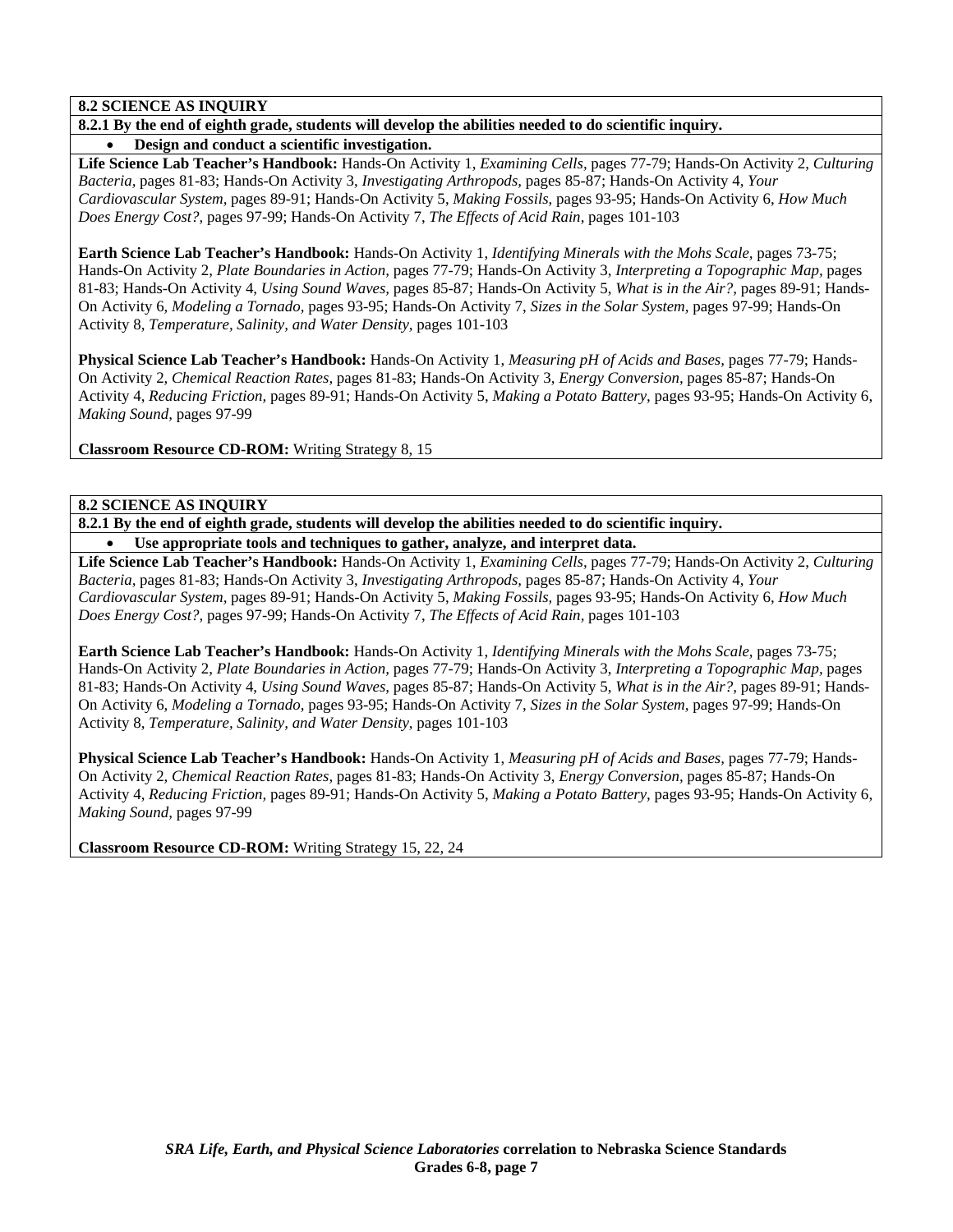# **8.2 SCIENCE AS INQUIRY**

#### **8.2.1 By the end of eighth grade, students will develop the abilities needed to do scientific inquiry.**  • **Design and conduct a scientific investigation.**

**Life Science Lab Teacher's Handbook:** Hands-On Activity 1, *Examining Cells,* pages 77-79; Hands-On Activity 2, *Culturing Bacteria,* pages 81-83; Hands-On Activity 3, *Investigating Arthropods,* pages 85-87; Hands-On Activity 4, *Your Cardiovascular System,* pages 89-91; Hands-On Activity 5, *Making Fossils,* pages 93-95; Hands-On Activity 6, *How Much Does Energy Cost?,* pages 97-99; Hands-On Activity 7, *The Effects of Acid Rain,* pages 101-103

**Earth Science Lab Teacher's Handbook:** Hands-On Activity 1, *Identifying Minerals with the Mohs Scale,* pages 73-75; Hands-On Activity 2, *Plate Boundaries in Action,* pages 77-79; Hands-On Activity 3, *Interpreting a Topographic Map,* pages 81-83; Hands-On Activity 4, *Using Sound Waves,* pages 85-87; Hands-On Activity 5, *What is in the Air?,* pages 89-91; Hands-On Activity 6, *Modeling a Tornado,* pages 93-95; Hands-On Activity 7, *Sizes in the Solar System,* pages 97-99; Hands-On Activity 8, *Temperature, Salinity, and Water Density,* pages 101-103

**Physical Science Lab Teacher's Handbook:** Hands-On Activity 1, *Measuring pH of Acids and Bases,* pages 77-79; Hands-On Activity 2, *Chemical Reaction Rates,* pages 81-83; Hands-On Activity 3, *Energy Conversion,* pages 85-87; Hands-On Activity 4, *Reducing Friction,* pages 89-91; Hands-On Activity 5, *Making a Potato Battery,* pages 93-95; Hands-On Activity 6, *Making Sound,* pages 97-99

**Classroom Resource CD-ROM:** Writing Strategy 8, 15

# **8.2 SCIENCE AS INQUIRY**

**8.2.1 By the end of eighth grade, students will develop the abilities needed to do scientific inquiry.** 

• **Use appropriate tools and techniques to gather, analyze, and interpret data.** 

**Life Science Lab Teacher's Handbook:** Hands-On Activity 1, *Examining Cells,* pages 77-79; Hands-On Activity 2, *Culturing Bacteria,* pages 81-83; Hands-On Activity 3, *Investigating Arthropods,* pages 85-87; Hands-On Activity 4, *Your Cardiovascular System,* pages 89-91; Hands-On Activity 5, *Making Fossils,* pages 93-95; Hands-On Activity 6, *How Much Does Energy Cost?,* pages 97-99; Hands-On Activity 7, *The Effects of Acid Rain,* pages 101-103

**Earth Science Lab Teacher's Handbook:** Hands-On Activity 1, *Identifying Minerals with the Mohs Scale,* pages 73-75; Hands-On Activity 2, *Plate Boundaries in Action,* pages 77-79; Hands-On Activity 3, *Interpreting a Topographic Map,* pages 81-83; Hands-On Activity 4, *Using Sound Waves,* pages 85-87; Hands-On Activity 5, *What is in the Air?,* pages 89-91; Hands-On Activity 6, *Modeling a Tornado,* pages 93-95; Hands-On Activity 7, *Sizes in the Solar System,* pages 97-99; Hands-On Activity 8, *Temperature, Salinity, and Water Density,* pages 101-103

**Physical Science Lab Teacher's Handbook:** Hands-On Activity 1, *Measuring pH of Acids and Bases,* pages 77-79; Hands-On Activity 2, *Chemical Reaction Rates,* pages 81-83; Hands-On Activity 3, *Energy Conversion,* pages 85-87; Hands-On Activity 4, *Reducing Friction,* pages 89-91; Hands-On Activity 5, *Making a Potato Battery,* pages 93-95; Hands-On Activity 6, *Making Sound,* pages 97-99

**Classroom Resource CD-ROM:** Writing Strategy 15, 22, 24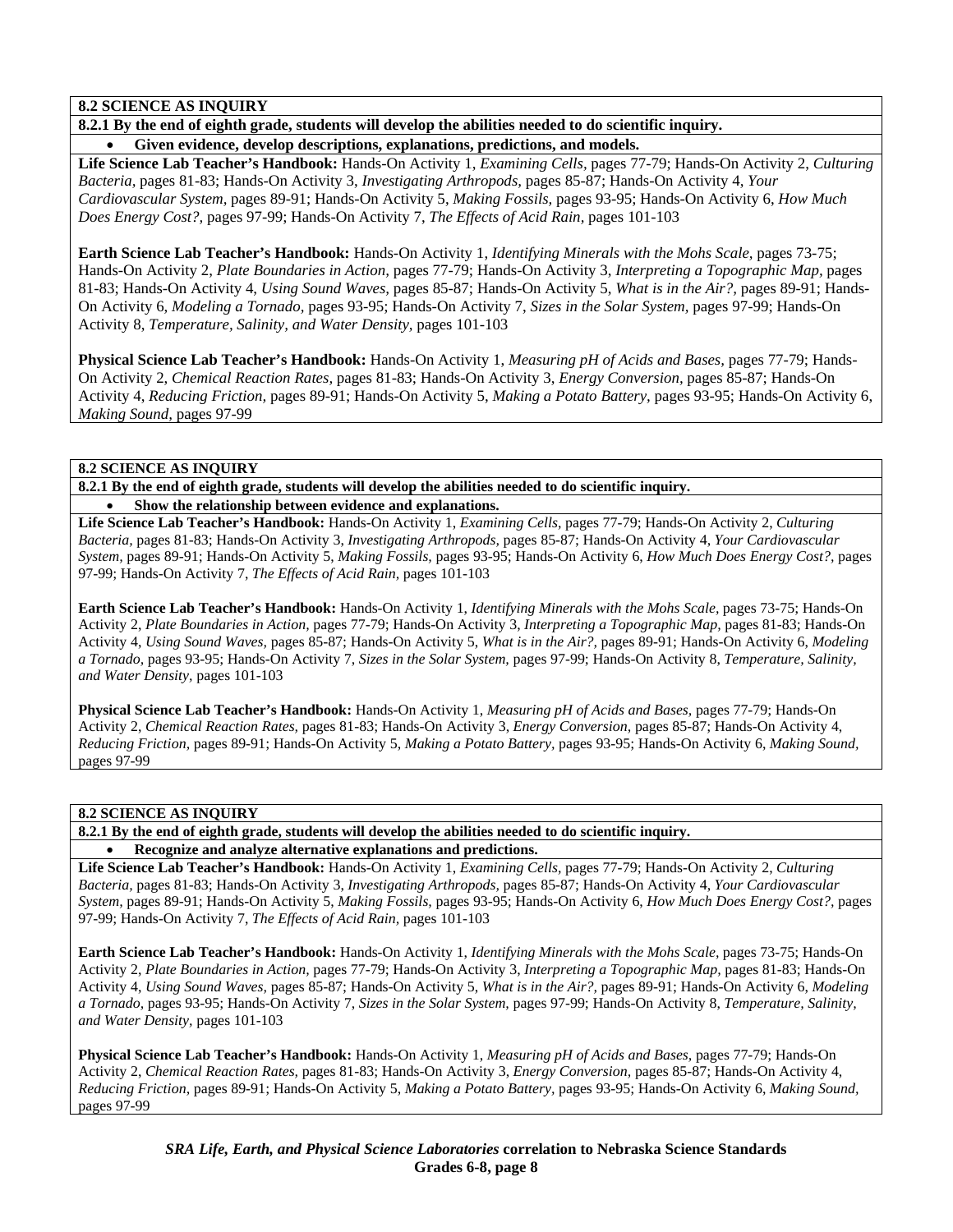# **8.2 SCIENCE AS INQUIRY**

**8.2.1 By the end of eighth grade, students will develop the abilities needed to do scientific inquiry.** 

• **Given evidence, develop descriptions, explanations, predictions, and models.** 

**Life Science Lab Teacher's Handbook:** Hands-On Activity 1, *Examining Cells,* pages 77-79; Hands-On Activity 2, *Culturing Bacteria,* pages 81-83; Hands-On Activity 3, *Investigating Arthropods,* pages 85-87; Hands-On Activity 4, *Your Cardiovascular System,* pages 89-91; Hands-On Activity 5, *Making Fossils,* pages 93-95; Hands-On Activity 6, *How Much Does Energy Cost?,* pages 97-99; Hands-On Activity 7, *The Effects of Acid Rain,* pages 101-103

**Earth Science Lab Teacher's Handbook:** Hands-On Activity 1, *Identifying Minerals with the Mohs Scale,* pages 73-75; Hands-On Activity 2, *Plate Boundaries in Action,* pages 77-79; Hands-On Activity 3, *Interpreting a Topographic Map,* pages 81-83; Hands-On Activity 4, *Using Sound Waves,* pages 85-87; Hands-On Activity 5, *What is in the Air?,* pages 89-91; Hands-On Activity 6, *Modeling a Tornado,* pages 93-95; Hands-On Activity 7, *Sizes in the Solar System,* pages 97-99; Hands-On Activity 8, *Temperature, Salinity, and Water Density,* pages 101-103

**Physical Science Lab Teacher's Handbook:** Hands-On Activity 1, *Measuring pH of Acids and Bases,* pages 77-79; Hands-On Activity 2, *Chemical Reaction Rates,* pages 81-83; Hands-On Activity 3, *Energy Conversion,* pages 85-87; Hands-On Activity 4, *Reducing Friction,* pages 89-91; Hands-On Activity 5, *Making a Potato Battery,* pages 93-95; Hands-On Activity 6, *Making Sound,* pages 97-99

### **8.2 SCIENCE AS INQUIRY**

**8.2.1 By the end of eighth grade, students will develop the abilities needed to do scientific inquiry.**  • **Show the relationship between evidence and explanations.** 

**Life Science Lab Teacher's Handbook:** Hands-On Activity 1, *Examining Cells,* pages 77-79; Hands-On Activity 2, *Culturing Bacteria,* pages 81-83; Hands-On Activity 3, *Investigating Arthropods,* pages 85-87; Hands-On Activity 4, *Your Cardiovascular System,* pages 89-91; Hands-On Activity 5, *Making Fossils,* pages 93-95; Hands-On Activity 6, *How Much Does Energy Cost?,* pages 97-99; Hands-On Activity 7, *The Effects of Acid Rain,* pages 101-103

**Earth Science Lab Teacher's Handbook:** Hands-On Activity 1, *Identifying Minerals with the Mohs Scale,* pages 73-75; Hands-On Activity 2, *Plate Boundaries in Action,* pages 77-79; Hands-On Activity 3, *Interpreting a Topographic Map,* pages 81-83; Hands-On Activity 4, *Using Sound Waves,* pages 85-87; Hands-On Activity 5, *What is in the Air?,* pages 89-91; Hands-On Activity 6, *Modeling a Tornado,* pages 93-95; Hands-On Activity 7, *Sizes in the Solar System,* pages 97-99; Hands-On Activity 8, *Temperature, Salinity, and Water Density,* pages 101-103

**Physical Science Lab Teacher's Handbook:** Hands-On Activity 1, *Measuring pH of Acids and Bases,* pages 77-79; Hands-On Activity 2, *Chemical Reaction Rates,* pages 81-83; Hands-On Activity 3, *Energy Conversion,* pages 85-87; Hands-On Activity 4, *Reducing Friction,* pages 89-91; Hands-On Activity 5, *Making a Potato Battery,* pages 93-95; Hands-On Activity 6, *Making Sound,* pages 97-99

# **8.2 SCIENCE AS INQUIRY**

**8.2.1 By the end of eighth grade, students will develop the abilities needed to do scientific inquiry.** 

• **Recognize and analyze alternative explanations and predictions.** 

**Life Science Lab Teacher's Handbook:** Hands-On Activity 1, *Examining Cells,* pages 77-79; Hands-On Activity 2, *Culturing Bacteria,* pages 81-83; Hands-On Activity 3, *Investigating Arthropods,* pages 85-87; Hands-On Activity 4, *Your Cardiovascular System,* pages 89-91; Hands-On Activity 5, *Making Fossils,* pages 93-95; Hands-On Activity 6, *How Much Does Energy Cost?,* pages 97-99; Hands-On Activity 7, *The Effects of Acid Rain,* pages 101-103

**Earth Science Lab Teacher's Handbook:** Hands-On Activity 1, *Identifying Minerals with the Mohs Scale,* pages 73-75; Hands-On Activity 2, *Plate Boundaries in Action,* pages 77-79; Hands-On Activity 3, *Interpreting a Topographic Map,* pages 81-83; Hands-On Activity 4, *Using Sound Waves,* pages 85-87; Hands-On Activity 5, *What is in the Air?,* pages 89-91; Hands-On Activity 6, *Modeling a Tornado,* pages 93-95; Hands-On Activity 7, *Sizes in the Solar System,* pages 97-99; Hands-On Activity 8, *Temperature, Salinity, and Water Density,* pages 101-103

**Physical Science Lab Teacher's Handbook:** Hands-On Activity 1, *Measuring pH of Acids and Bases,* pages 77-79; Hands-On Activity 2, *Chemical Reaction Rates,* pages 81-83; Hands-On Activity 3, *Energy Conversion,* pages 85-87; Hands-On Activity 4, *Reducing Friction,* pages 89-91; Hands-On Activity 5, *Making a Potato Battery,* pages 93-95; Hands-On Activity 6, *Making Sound,* pages 97-99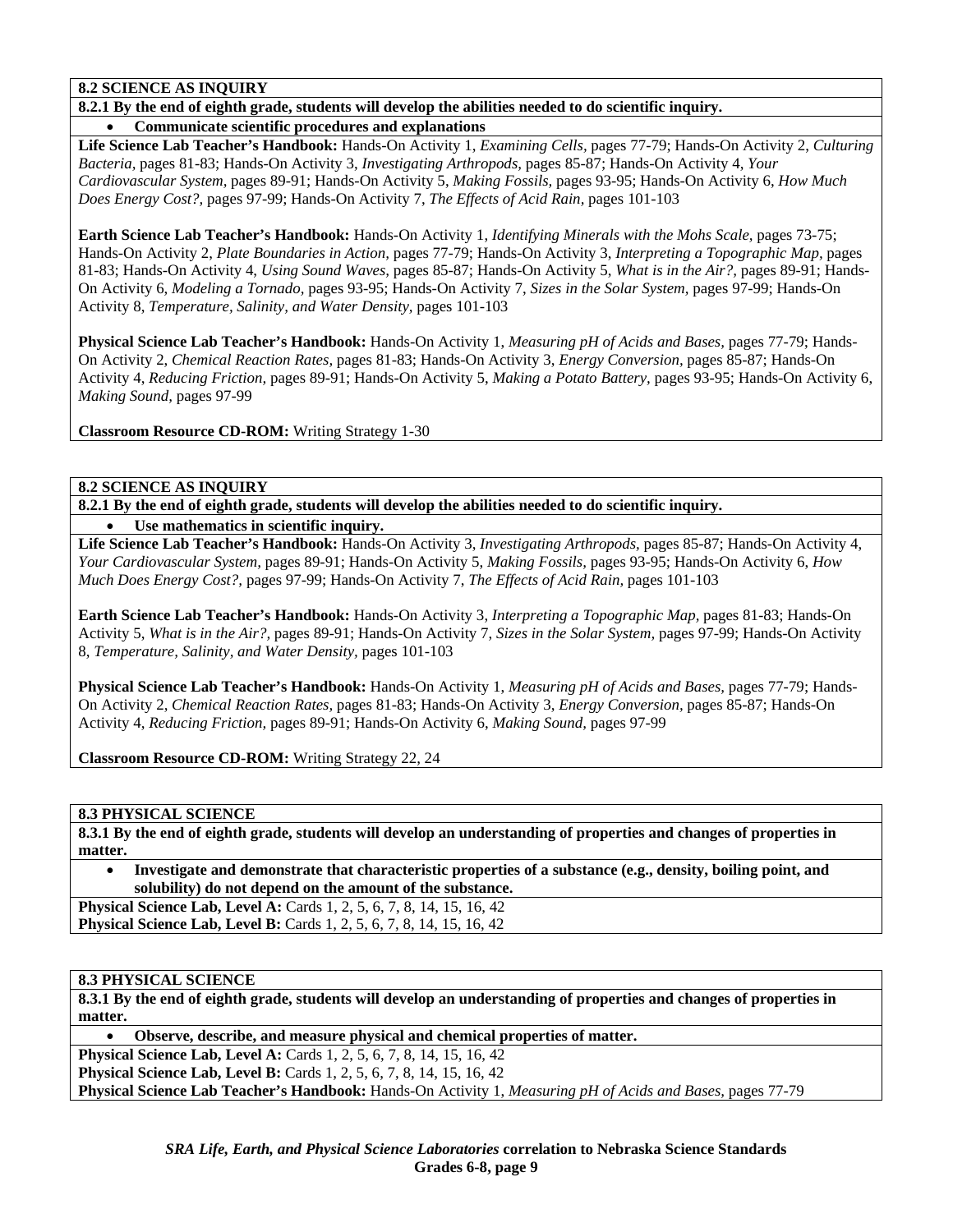#### **8.2 SCIENCE AS INQUIRY**

**8.2.1 By the end of eighth grade, students will develop the abilities needed to do scientific inquiry.** 

• **Communicate scientific procedures and explanations** 

**Life Science Lab Teacher's Handbook:** Hands-On Activity 1, *Examining Cells,* pages 77-79; Hands-On Activity 2, *Culturing Bacteria,* pages 81-83; Hands-On Activity 3, *Investigating Arthropods,* pages 85-87; Hands-On Activity 4, *Your Cardiovascular System,* pages 89-91; Hands-On Activity 5, *Making Fossils,* pages 93-95; Hands-On Activity 6, *How Much Does Energy Cost?,* pages 97-99; Hands-On Activity 7, *The Effects of Acid Rain,* pages 101-103

**Earth Science Lab Teacher's Handbook:** Hands-On Activity 1, *Identifying Minerals with the Mohs Scale,* pages 73-75; Hands-On Activity 2, *Plate Boundaries in Action,* pages 77-79; Hands-On Activity 3, *Interpreting a Topographic Map,* pages 81-83; Hands-On Activity 4, *Using Sound Waves,* pages 85-87; Hands-On Activity 5, *What is in the Air?,* pages 89-91; Hands-On Activity 6, *Modeling a Tornado,* pages 93-95; Hands-On Activity 7, *Sizes in the Solar System,* pages 97-99; Hands-On Activity 8, *Temperature, Salinity, and Water Density,* pages 101-103

**Physical Science Lab Teacher's Handbook:** Hands-On Activity 1, *Measuring pH of Acids and Bases,* pages 77-79; Hands-On Activity 2, *Chemical Reaction Rates,* pages 81-83; Hands-On Activity 3, *Energy Conversion,* pages 85-87; Hands-On Activity 4, *Reducing Friction,* pages 89-91; Hands-On Activity 5, *Making a Potato Battery,* pages 93-95; Hands-On Activity 6, *Making Sound,* pages 97-99

**Classroom Resource CD-ROM:** Writing Strategy 1-30

**8.2 SCIENCE AS INQUIRY** 

**8.2.1 By the end of eighth grade, students will develop the abilities needed to do scientific inquiry.**  • **Use mathematics in scientific inquiry.** 

**Life Science Lab Teacher's Handbook:** Hands-On Activity 3, *Investigating Arthropods,* pages 85-87; Hands-On Activity 4, *Your Cardiovascular System,* pages 89-91; Hands-On Activity 5, *Making Fossils,* pages 93-95; Hands-On Activity 6, *How Much Does Energy Cost?,* pages 97-99; Hands-On Activity 7, *The Effects of Acid Rain,* pages 101-103

**Earth Science Lab Teacher's Handbook:** Hands-On Activity 3, *Interpreting a Topographic Map,* pages 81-83; Hands-On Activity 5, *What is in the Air?,* pages 89-91; Hands-On Activity 7, *Sizes in the Solar System,* pages 97-99; Hands-On Activity 8, *Temperature, Salinity, and Water Density,* pages 101-103

**Physical Science Lab Teacher's Handbook:** Hands-On Activity 1, *Measuring pH of Acids and Bases,* pages 77-79; Hands-On Activity 2, *Chemical Reaction Rates,* pages 81-83; Hands-On Activity 3, *Energy Conversion,* pages 85-87; Hands-On Activity 4, *Reducing Friction,* pages 89-91; Hands-On Activity 6, *Making Sound,* pages 97-99

**Classroom Resource CD-ROM:** Writing Strategy 22, 24

**8.3 PHYSICAL SCIENCE** 

**8.3.1 By the end of eighth grade, students will develop an understanding of properties and changes of properties in matter.** 

• **Investigate and demonstrate that characteristic properties of a substance (e.g., density, boiling point, and solubility) do not depend on the amount of the substance.** 

**Physical Science Lab, Level A:** Cards 1, 2, 5, 6, 7, 8, 14, 15, 16, 42 **Physical Science Lab, Level B:** Cards 1, 2, 5, 6, 7, 8, 14, 15, 16, 42

#### **8.3 PHYSICAL SCIENCE**

**8.3.1 By the end of eighth grade, students will develop an understanding of properties and changes of properties in matter.** 

• **Observe, describe, and measure physical and chemical properties of matter. Physical Science Lab, Level A: Cards 1, 2, 5, 6, 7, 8, 14, 15, 16, 42 Physical Science Lab, Level B:** Cards 1, 2, 5, 6, 7, 8, 14, 15, 16, 42 **Physical Science Lab Teacher's Handbook:** Hands-On Activity 1, *Measuring pH of Acids and Bases,* pages 77-79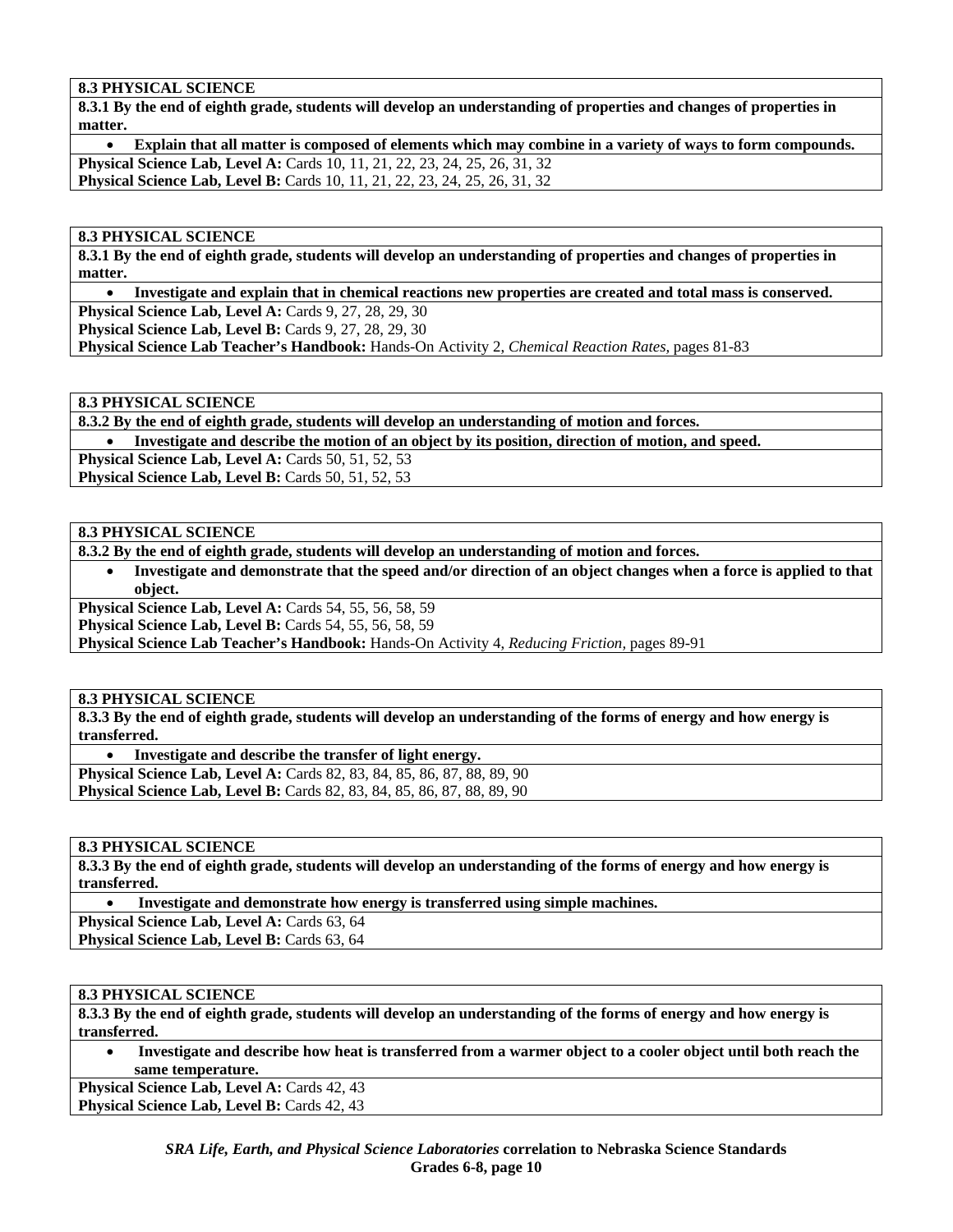# **8.3 PHYSICAL SCIENCE**

**8.3.1 By the end of eighth grade, students will develop an understanding of properties and changes of properties in matter.** 

• **Explain that all matter is composed of elements which may combine in a variety of ways to form compounds. Physical Science Lab, Level A:** Cards 10, 11, 21, 22, 23, 24, 25, 26, 31, 32 **Physical Science Lab, Level B:** Cards 10, 11, 21, 22, 23, 24, 25, 26, 31, 32

#### **8.3 PHYSICAL SCIENCE**

**8.3.1 By the end of eighth grade, students will develop an understanding of properties and changes of properties in matter.** 

• **Investigate and explain that in chemical reactions new properties are created and total mass is conserved. Physical Science Lab, Level A: Cards 9, 27, 28, 29, 30** 

**Physical Science Lab, Level B: Cards 9, 27, 28, 29, 30** 

**Physical Science Lab Teacher's Handbook:** Hands-On Activity 2, *Chemical Reaction Rates,* pages 81-83

#### **8.3 PHYSICAL SCIENCE**

**8.3.2 By the end of eighth grade, students will develop an understanding of motion and forces.** 

• **Investigate and describe the motion of an object by its position, direction of motion, and speed.** 

**Physical Science Lab, Level A: Cards 50, 51, 52, 53** 

**Physical Science Lab, Level B: Cards 50, 51, 52, 53** 

### **8.3 PHYSICAL SCIENCE**

**8.3.2 By the end of eighth grade, students will develop an understanding of motion and forces.** 

• **Investigate and demonstrate that the speed and/or direction of an object changes when a force is applied to that object.** 

**Physical Science Lab, Level A: Cards 54, 55, 56, 58, 59** 

**Physical Science Lab, Level B:** Cards 54, 55, 56, 58, 59

**Physical Science Lab Teacher's Handbook:** Hands-On Activity 4, *Reducing Friction,* pages 89-91

#### **8.3 PHYSICAL SCIENCE**

**8.3.3 By the end of eighth grade, students will develop an understanding of the forms of energy and how energy is transferred.** 

• **Investigate and describe the transfer of light energy. Physical Science Lab, Level A: Cards 82, 83, 84, 85, 86, 87, 88, 89, 90 Physical Science Lab, Level B:** Cards 82, 83, 84, 85, 86, 87, 88, 89, 90

**8.3 PHYSICAL SCIENCE** 

**8.3.3 By the end of eighth grade, students will develop an understanding of the forms of energy and how energy is transferred.** 

- • **Investigate and demonstrate how energy is transferred using simple machines.**
- **Physical Science Lab, Level A: Cards 63, 64**

Physical Science Lab, Level B: Cards 63, 64

#### **8.3 PHYSICAL SCIENCE**

**8.3.3 By the end of eighth grade, students will develop an understanding of the forms of energy and how energy is transferred.** 

• **Investigate and describe how heat is transferred from a warmer object to a cooler object until both reach the same temperature.** 

Physical Science Lab, Level A: Cards 42, 43 Physical Science Lab, Level B: Cards 42, 43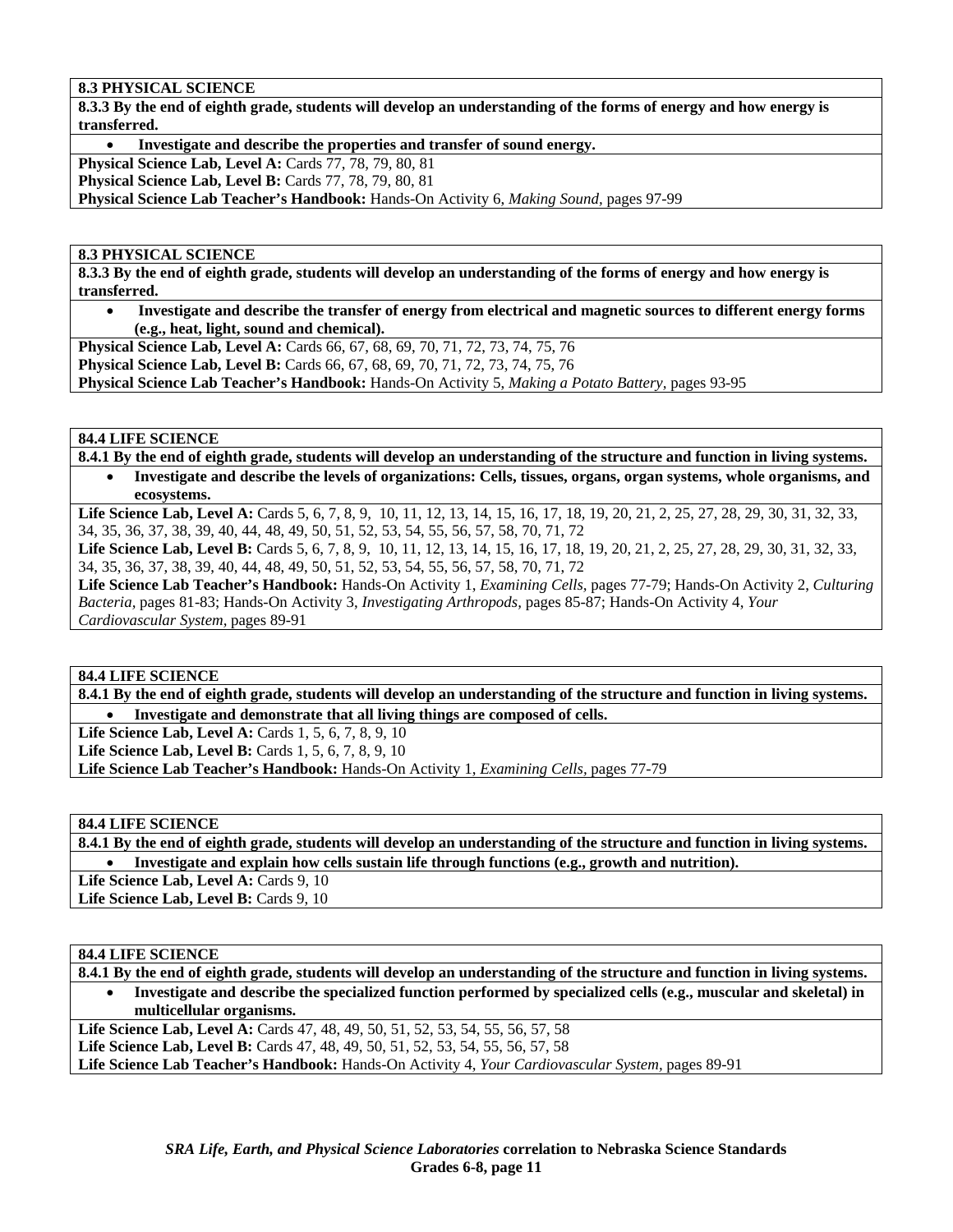### **8.3 PHYSICAL SCIENCE**

**8.3.3 By the end of eighth grade, students will develop an understanding of the forms of energy and how energy is transferred.** 

• **Investigate and describe the properties and transfer of sound energy. Physical Science Lab, Level A: Cards 77, 78, 79, 80, 81 Physical Science Lab, Level B:** Cards 77, 78, 79, 80, 81

**Physical Science Lab Teacher's Handbook:** Hands-On Activity 6, *Making Sound,* pages 97-99

#### **8.3 PHYSICAL SCIENCE**

**8.3.3 By the end of eighth grade, students will develop an understanding of the forms of energy and how energy is transferred.** 

• **Investigate and describe the transfer of energy from electrical and magnetic sources to different energy forms (e.g., heat, light, sound and chemical).** 

**Physical Science Lab, Level A:** Cards 66, 67, 68, 69, 70, 71, 72, 73, 74, 75, 76 **Physical Science Lab, Level B:** Cards 66, 67, 68, 69, 70, 71, 72, 73, 74, 75, 76

**Physical Science Lab Teacher's Handbook:** Hands-On Activity 5, *Making a Potato Battery,* pages 93-95

#### **84.4 LIFE SCIENCE**

**8.4.1 By the end of eighth grade, students will develop an understanding of the structure and function in living systems.**  • **Investigate and describe the levels of organizations: Cells, tissues, organs, organ systems, whole organisms, and ecosystems.** 

Life Science Lab, Level A: Cards 5, 6, 7, 8, 9, 10, 11, 12, 13, 14, 15, 16, 17, 18, 19, 20, 21, 2, 25, 27, 28, 29, 30, 31, 32, 33, 34, 35, 36, 37, 38, 39, 40, 44, 48, 49, 50, 51, 52, 53, 54, 55, 56, 57, 58, 70, 71, 72

Life Science Lab, Level B: Cards 5, 6, 7, 8, 9, 10, 11, 12, 13, 14, 15, 16, 17, 18, 19, 20, 21, 2, 25, 27, 28, 29, 30, 31, 32, 33, 34, 35, 36, 37, 38, 39, 40, 44, 48, 49, 50, 51, 52, 53, 54, 55, 56, 57, 58, 70, 71, 72

**Life Science Lab Teacher's Handbook:** Hands-On Activity 1, *Examining Cells,* pages 77-79; Hands-On Activity 2, *Culturing Bacteria,* pages 81-83; Hands-On Activity 3, *Investigating Arthropods,* pages 85-87; Hands-On Activity 4, *Your Cardiovascular System,* pages 89-91

**84.4 LIFE SCIENCE** 

**8.4.1 By the end of eighth grade, students will develop an understanding of the structure and function in living systems.**  • **Investigate and demonstrate that all living things are composed of cells.** 

**Life Science Lab, Level A: Cards 1, 5, 6, 7, 8, 9, 10** 

**Life Science Lab, Level B:** Cards 1, 5, 6, 7, 8, 9, 10

**Life Science Lab Teacher's Handbook:** Hands-On Activity 1, *Examining Cells,* pages 77-79

#### **84.4 LIFE SCIENCE**

**8.4.1 By the end of eighth grade, students will develop an understanding of the structure and function in living systems.**  • **Investigate and explain how cells sustain life through functions (e.g., growth and nutrition).**  Life Science Lab, Level A: Cards 9, 10 Life Science Lab, Level B: Cards 9, 10

#### **84.4 LIFE SCIENCE**

| 8.4.1 By the end of eighth grade, students will develop an understanding of the structure and function in living systems. |
|---------------------------------------------------------------------------------------------------------------------------|
| Investigate and describe the specialized function performed by specialized cells (e.g., muscular and skeletal) in         |
| multicellular organisms.                                                                                                  |
| <b>Life Science Lab, Level A:</b> Cards 47, 48, 49, 50, 51, 52, 53, 54, 55, 56, 57, 58                                    |
| <b>Life Science Lab, Level B:</b> Cards 47, 48, 49, 50, 51, 52, 53, 54, 55, 56, 57, 58                                    |
| Life Science Lab Teacher's Handbook: Hands-On Activity 4, Your Cardiovascular System, pages 89-91                         |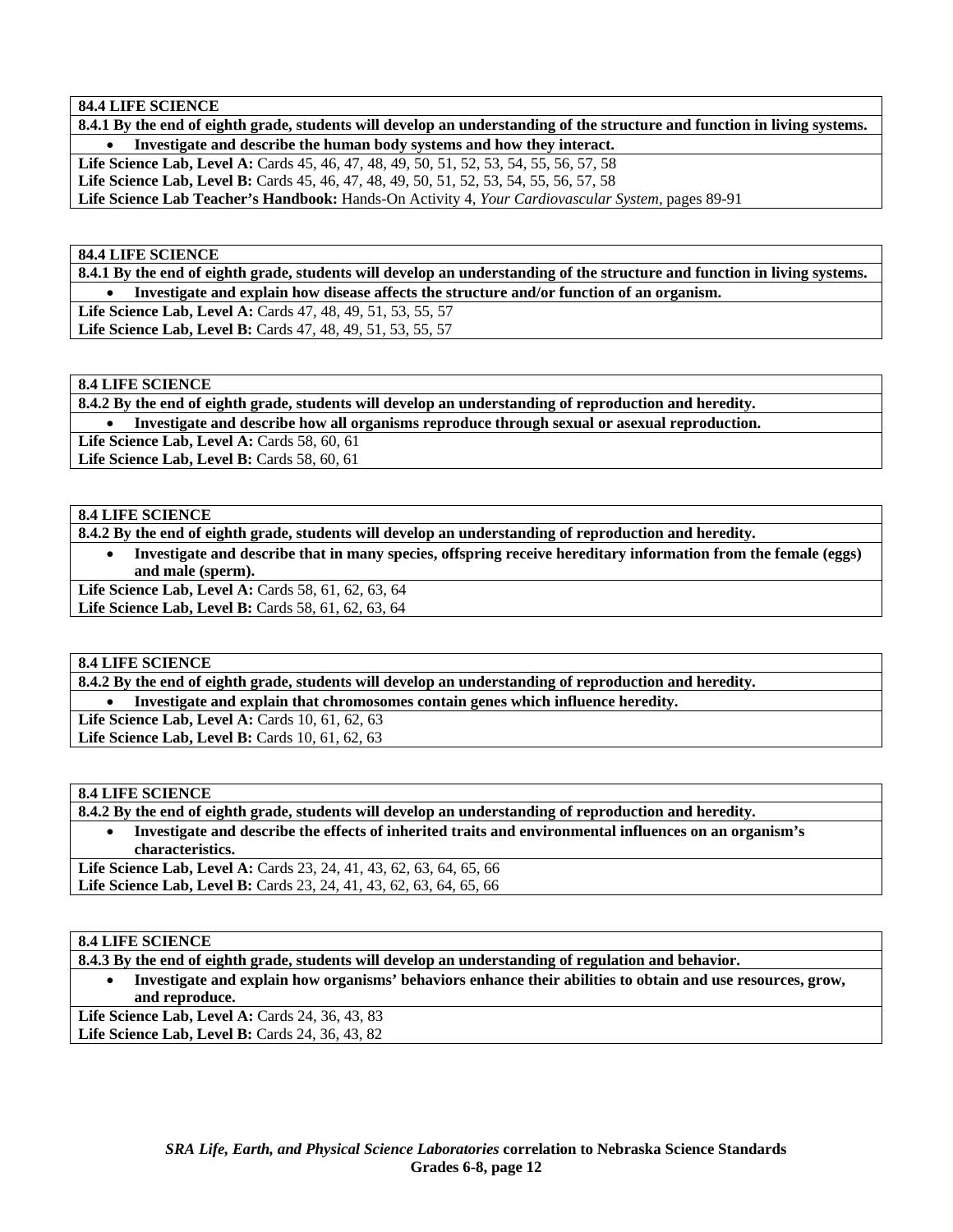#### **84.4 LIFE SCIENCE**

**8.4.1 By the end of eighth grade, students will develop an understanding of the structure and function in living systems.**  • **Investigate and describe the human body systems and how they interact. Life Science Lab, Level A:** Cards 45, 46, 47, 48, 49, 50, 51, 52, 53, 54, 55, 56, 57, 58 **Life Science Lab, Level B:** Cards 45, 46, 47, 48, 49, 50, 51, 52, 53, 54, 55, 56, 57, 58 **Life Science Lab Teacher's Handbook:** Hands-On Activity 4, *Your Cardiovascular System,* pages 89-91

#### **84.4 LIFE SCIENCE**

**8.4.1 By the end of eighth grade, students will develop an understanding of the structure and function in living systems.**  • **Investigate and explain how disease affects the structure and/or function of an organism.** 

**Life Science Lab, Level A:** Cards 47, 48, 49, 51, 53, 55, 57

**Life Science Lab, Level B:** Cards 47, 48, 49, 51, 53, 55, 57

### **8.4 LIFE SCIENCE**

**8.4.2 By the end of eighth grade, students will develop an understanding of reproduction and heredity.** 

• **Investigate and describe how all organisms reproduce through sexual or asexual reproduction.** 

Life Science Lab, Level A: Cards 58, 60, 61

**Life Science Lab, Level B: Cards 58, 60, 61** 

# **8.4 LIFE SCIENCE**

**8.4.2 By the end of eighth grade, students will develop an understanding of reproduction and heredity.** 

• **Investigate and describe that in many species, offspring receive hereditary information from the female (eggs) and male (sperm).** 

Life Science Lab, Level A: Cards 58, 61, 62, 63, 64 Life Science Lab, Level B: Cards 58, 61, 62, 63, 64

#### **8.4 LIFE SCIENCE**

**8.4.2 By the end of eighth grade, students will develop an understanding of reproduction and heredity.** 

• **Investigate and explain that chromosomes contain genes which influence heredity.** 

**Life Science Lab, Level A: Cards 10, 61, 62, 63** 

Life Science Lab, Level B: Cards 10, 61, 62, 63

#### **8.4 LIFE SCIENCE**

**8.4.2 By the end of eighth grade, students will develop an understanding of reproduction and heredity.** 

• **Investigate and describe the effects of inherited traits and environmental influences on an organism's characteristics.** 

**Life Science Lab, Level A:** Cards 23, 24, 41, 43, 62, 63, 64, 65, 66 Life Science Lab, Level B: Cards 23, 24, 41, 43, 62, 63, 64, 65, 66

#### **8.4 LIFE SCIENCE**

**8.4.3 By the end of eighth grade, students will develop an understanding of regulation and behavior.** 

• **Investigate and explain how organisms' behaviors enhance their abilities to obtain and use resources, grow, and reproduce.** 

**Life Science Lab, Level A:** Cards 24, 36, 43, 83 Life Science Lab, Level B: Cards 24, 36, 43, 82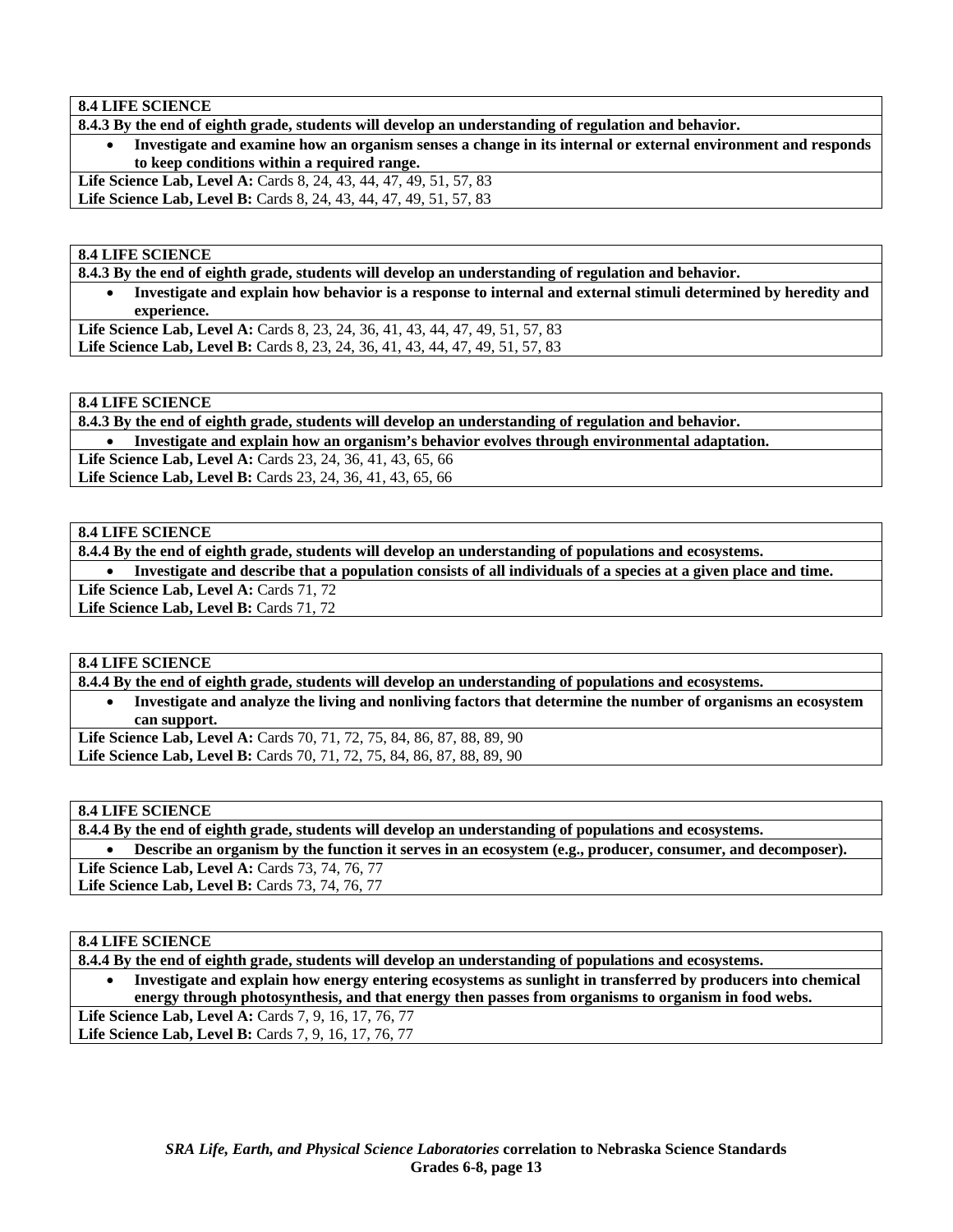**8.4 LIFE SCIENCE** 

**8.4.3 By the end of eighth grade, students will develop an understanding of regulation and behavior.** 

• **Investigate and examine how an organism senses a change in its internal or external environment and responds to keep conditions within a required range.** 

**Life Science Lab, Level A:** Cards 8, 24, 43, 44, 47, 49, 51, 57, 83 **Life Science Lab, Level B:** Cards 8, 24, 43, 44, 47, 49, 51, 57, 83

**8.4 LIFE SCIENCE** 

**8.4.3 By the end of eighth grade, students will develop an understanding of regulation and behavior.** 

• **Investigate and explain how behavior is a response to internal and external stimuli determined by heredity and experience.** 

Life Science Lab, Level A: Cards 8, 23, 24, 36, 41, 43, 44, 47, 49, 51, 57, 83 Life Science Lab, Level B: Cards 8, 23, 24, 36, 41, 43, 44, 47, 49, 51, 57, 83

#### **8.4 LIFE SCIENCE**

**8.4.3 By the end of eighth grade, students will develop an understanding of regulation and behavior.** 

• **Investigate and explain how an organism's behavior evolves through environmental adaptation.** 

Life Science Lab, Level A: Cards 23, 24, 36, 41, 43, 65, 66

**Life Science Lab, Level B:** Cards 23, 24, 36, 41, 43, 65, 66

# **8.4 LIFE SCIENCE**

**8.4.4 By the end of eighth grade, students will develop an understanding of populations and ecosystems.** 

• **Investigate and describe that a population consists of all individuals of a species at a given place and time.** 

Life Science Lab, Level A: Cards 71, 72

Life Science Lab, Level B: Cards 71, 72

#### **8.4 LIFE SCIENCE**

**8.4.4 By the end of eighth grade, students will develop an understanding of populations and ecosystems.** 

• **Investigate and analyze the living and nonliving factors that determine the number of organisms an ecosystem can support.** 

Life Science Lab, Level A: Cards 70, 71, 72, 75, 84, 86, 87, 88, 89, 90 Life Science Lab, Level B: Cards 70, 71, 72, 75, 84, 86, 87, 88, 89, 90

#### **8.4 LIFE SCIENCE**

**8.4.4 By the end of eighth grade, students will develop an understanding of populations and ecosystems.** 

• **Describe an organism by the function it serves in an ecosystem (e.g., producer, consumer, and decomposer). Life Science Lab, Level A:** Cards 73, 74, 76, 77

Life Science Lab, Level B: Cards 73, 74, 76, 77

#### **8.4 LIFE SCIENCE**

**8.4.4 By the end of eighth grade, students will develop an understanding of populations and ecosystems.** 

• **Investigate and explain how energy entering ecosystems as sunlight in transferred by producers into chemical energy through photosynthesis, and that energy then passes from organisms to organism in food webs.**  Life Science Lab, Level A: Cards 7, 9, 16, 17, 76, 77 Life Science Lab, Level B: Cards 7, 9, 16, 17, 76, 77

> *SRA Life, Earth, and Physical Science Laboratories* **correlation to Nebraska Science Standards Grades 6-8, page 13**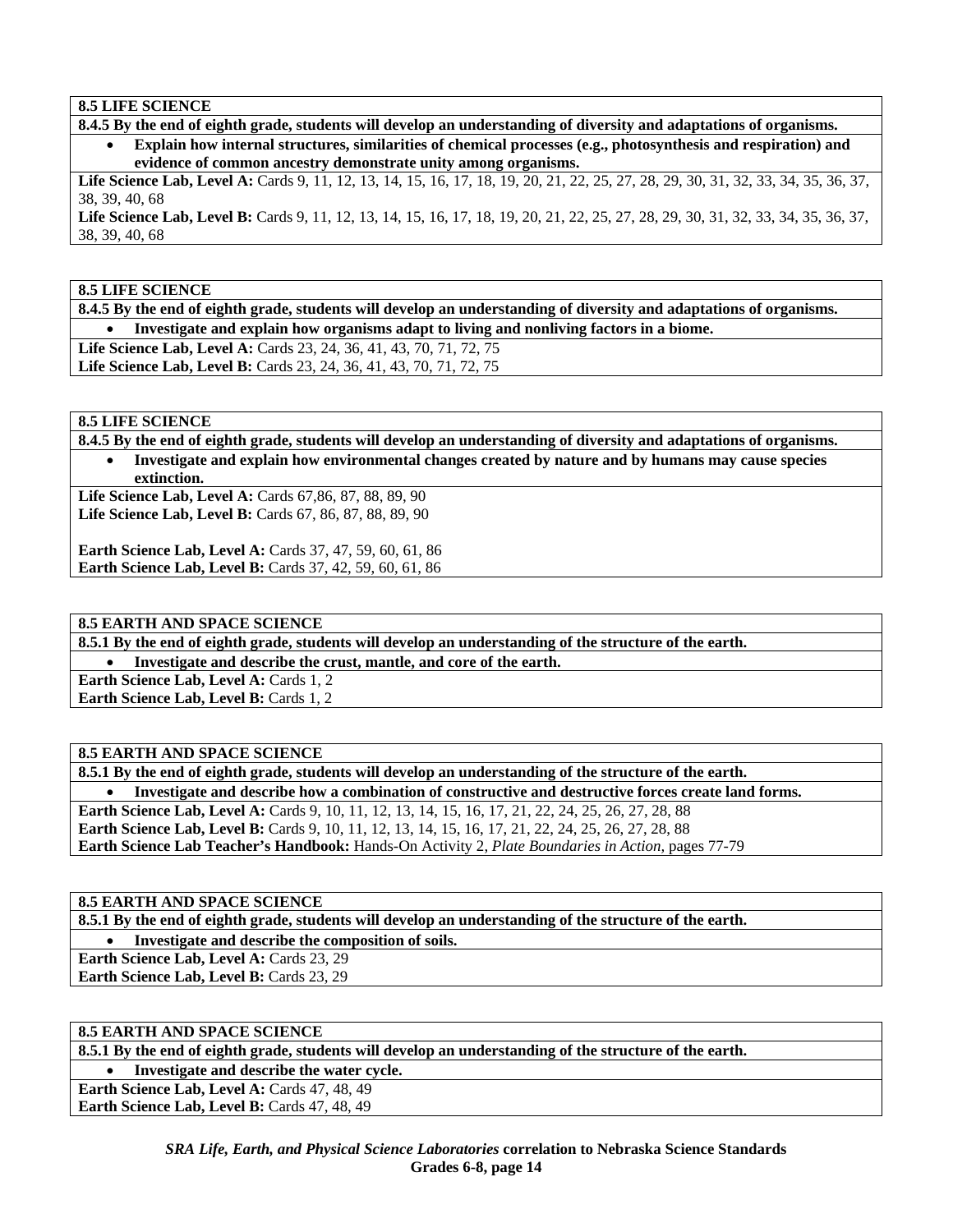**8.5 LIFE SCIENCE** 

**8.4.5 By the end of eighth grade, students will develop an understanding of diversity and adaptations of organisms.** 

• **Explain how internal structures, similarities of chemical processes (e.g., photosynthesis and respiration) and evidence of common ancestry demonstrate unity among organisms.** 

Life Science Lab, Level A: Cards 9, 11, 12, 13, 14, 15, 16, 17, 18, 19, 20, 21, 22, 25, 27, 28, 29, 30, 31, 32, 33, 34, 35, 36, 37, 38, 39, 40, 68

Life Science Lab, Level B: Cards 9, 11, 12, 13, 14, 15, 16, 17, 18, 19, 20, 21, 22, 25, 27, 28, 29, 30, 31, 32, 33, 34, 35, 36, 37, 38, 39, 40, 68

**8.5 LIFE SCIENCE** 

**8.4.5 By the end of eighth grade, students will develop an understanding of diversity and adaptations of organisms.**  • **Investigate and explain how organisms adapt to living and nonliving factors in a biome.** 

Life Science Lab, Level A: Cards 23, 24, 36, 41, 43, 70, 71, 72, 75 Life Science Lab, Level B: Cards 23, 24, 36, 41, 43, 70, 71, 72, 75

**8.5 LIFE SCIENCE** 

**8.4.5 By the end of eighth grade, students will develop an understanding of diversity and adaptations of organisms.**  • **Investigate and explain how environmental changes created by nature and by humans may cause species** 

**extinction. Life Science Lab, Level A:** Cards 67,86, 87, 88, 89, 90

**Life Science Lab, Level B:** Cards 67, 86, 87, 88, 89, 90

**Earth Science Lab, Level A: Cards 37, 47, 59, 60, 61, 86 Earth Science Lab, Level B:** Cards 37, 42, 59, 60, 61, 86

**8.5 EARTH AND SPACE SCIENCE** 

**8.5.1 By the end of eighth grade, students will develop an understanding of the structure of the earth.** 

• **Investigate and describe the crust, mantle, and core of the earth.** 

**Earth Science Lab, Level A: Cards 1, 2** 

**Earth Science Lab, Level B: Cards 1, 2** 

# **8.5 EARTH AND SPACE SCIENCE**

**8.5.1 By the end of eighth grade, students will develop an understanding of the structure of the earth.**  • **Investigate and describe how a combination of constructive and destructive forces create land forms. Earth Science Lab, Level A:** Cards 9, 10, 11, 12, 13, 14, 15, 16, 17, 21, 22, 24, 25, 26, 27, 28, 88 **Earth Science Lab, Level B:** Cards 9, 10, 11, 12, 13, 14, 15, 16, 17, 21, 22, 24, 25, 26, 27, 28, 88 **Earth Science Lab Teacher's Handbook:** Hands-On Activity 2, *Plate Boundaries in Action,* pages 77-79

# **8.5 EARTH AND SPACE SCIENCE**

**8.5.1 By the end of eighth grade, students will develop an understanding of the structure of the earth.** 

• **Investigate and describe the composition of soils.** 

**Earth Science Lab, Level A: Cards 23, 29** Earth Science Lab, Level B: Cards 23, 29

### **8.5 EARTH AND SPACE SCIENCE**

**8.5.1 By the end of eighth grade, students will develop an understanding of the structure of the earth.** 

• **Investigate and describe the water cycle.** 

**Earth Science Lab, Level A: Cards 47, 48, 49** Earth Science Lab, Level B: Cards 47, 48, 49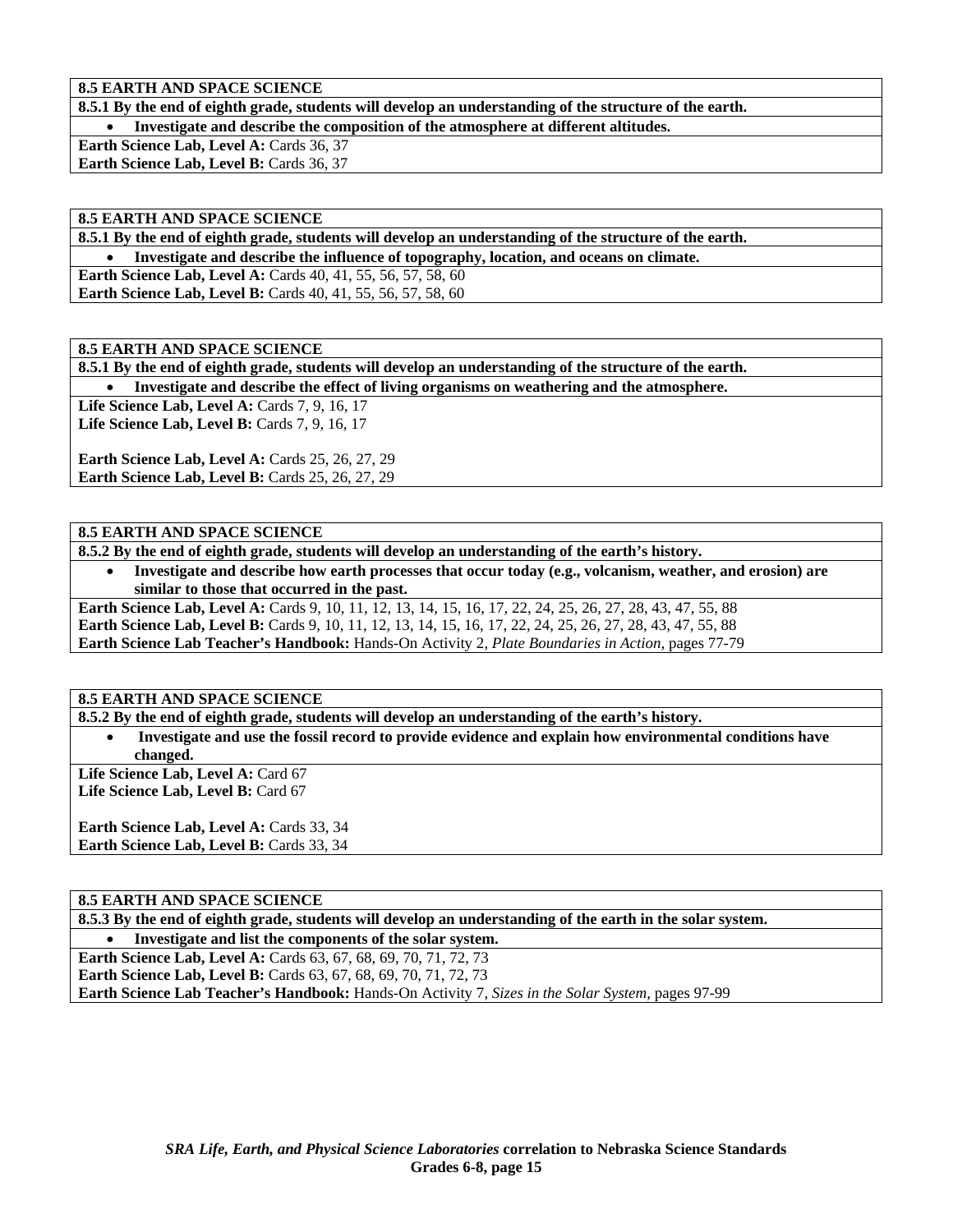**8.5 EARTH AND SPACE SCIENCE** 

**8.5.1 By the end of eighth grade, students will develop an understanding of the structure of the earth.** 

• **Investigate and describe the composition of the atmosphere at different altitudes.** 

Earth Science Lab, Level A: Cards 36, 37 Earth Science Lab, Level B: Cards 36, 37

#### **8.5 EARTH AND SPACE SCIENCE**

**8.5.1 By the end of eighth grade, students will develop an understanding of the structure of the earth.** 

• **Investigate and describe the influence of topography, location, and oceans on climate.** 

**Earth Science Lab, Level A:** Cards 40, 41, 55, 56, 57, 58, 60 **Earth Science Lab, Level B:** Cards 40, 41, 55, 56, 57, 58, 60

**8.5 EARTH AND SPACE SCIENCE** 

**8.5.1 By the end of eighth grade, students will develop an understanding of the structure of the earth.** 

• **Investigate and describe the effect of living organisms on weathering and the atmosphere.** 

Life Science Lab, Level A: Cards 7, 9, 16, 17 **Life Science Lab, Level B: Cards 7, 9, 16, 17** 

**Earth Science Lab, Level A: Cards 25, 26, 27, 29 Earth Science Lab, Level B: Cards 25, 26, 27, 29** 

### **8.5 EARTH AND SPACE SCIENCE**

**8.5.2 By the end of eighth grade, students will develop an understanding of the earth's history.** 

• **Investigate and describe how earth processes that occur today (e.g., volcanism, weather, and erosion) are similar to those that occurred in the past.** 

**Earth Science Lab, Level A:** Cards 9, 10, 11, 12, 13, 14, 15, 16, 17, 22, 24, 25, 26, 27, 28, 43, 47, 55, 88 **Earth Science Lab, Level B:** Cards 9, 10, 11, 12, 13, 14, 15, 16, 17, 22, 24, 25, 26, 27, 28, 43, 47, 55, 88 **Earth Science Lab Teacher's Handbook:** Hands-On Activity 2, *Plate Boundaries in Action,* pages 77-79

#### **8.5 EARTH AND SPACE SCIENCE**

**8.5.2 By the end of eighth grade, students will develop an understanding of the earth's history.** 

• **Investigate and use the fossil record to provide evidence and explain how environmental conditions have changed.** 

Life Science Lab, Level A: Card 67 Life Science Lab, Level B: Card 67

**Earth Science Lab, Level A: Cards 33, 34 Earth Science Lab, Level B: Cards 33, 34** 

# **8.5 EARTH AND SPACE SCIENCE**

**8.5.3 By the end of eighth grade, students will develop an understanding of the earth in the solar system.** 

• **Investigate and list the components of the solar system. Earth Science Lab, Level A:** Cards 63, 67, 68, 69, 70, 71, 72, 73 **Earth Science Lab, Level B:** Cards 63, 67, 68, 69, 70, 71, 72, 73 **Earth Science Lab Teacher's Handbook:** Hands-On Activity 7, *Sizes in the Solar System,* pages 97-99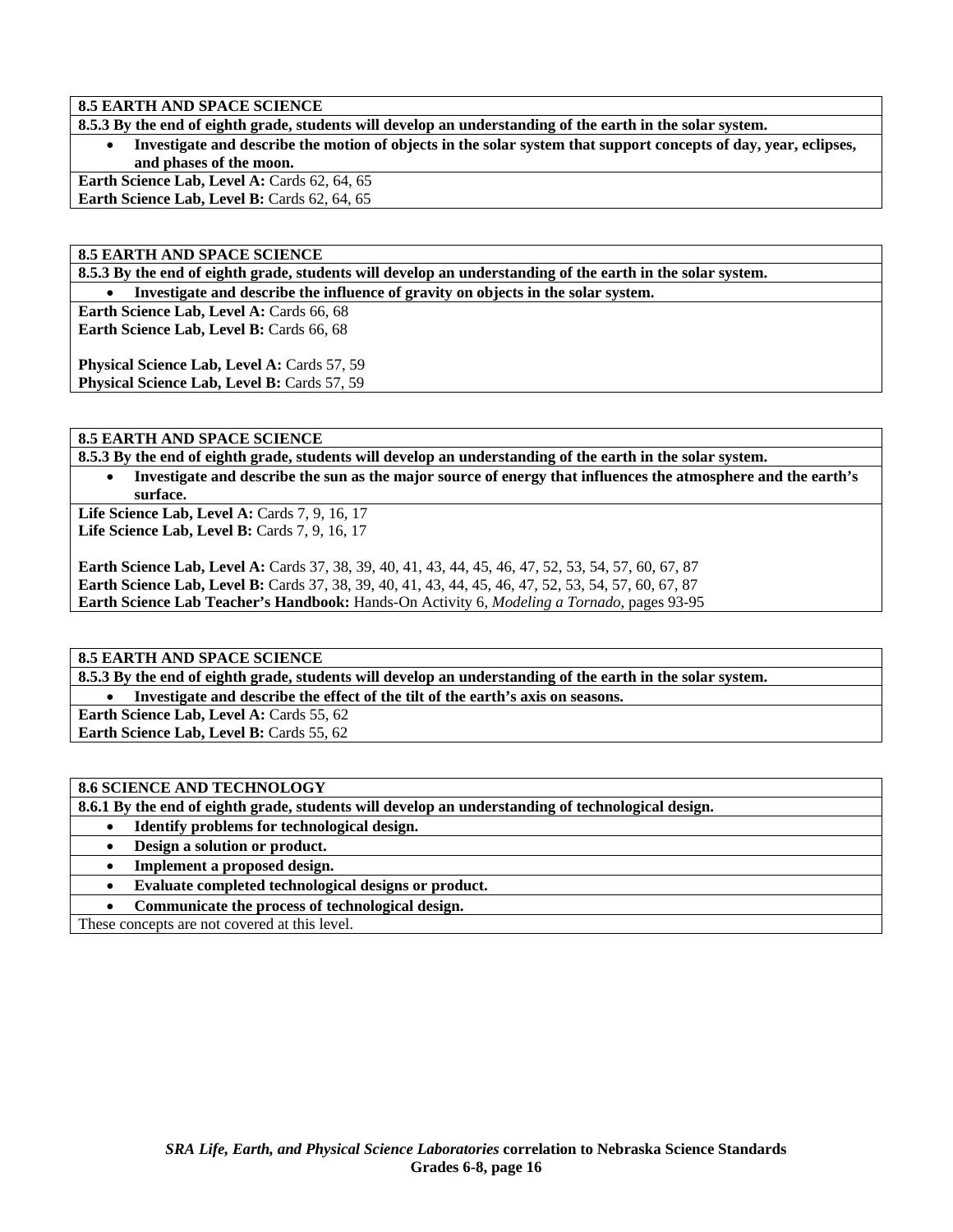**8.5 EARTH AND SPACE SCIENCE** 

**8.5.3 By the end of eighth grade, students will develop an understanding of the earth in the solar system.** 

• **Investigate and describe the motion of objects in the solar system that support concepts of day, year, eclipses, and phases of the moon.** 

Earth Science Lab, Level A: Cards 62, 64, 65 **Earth Science Lab, Level B: Cards 62, 64, 65** 

**8.5 EARTH AND SPACE SCIENCE** 

**8.5.3 By the end of eighth grade, students will develop an understanding of the earth in the solar system.** 

• **Investigate and describe the influence of gravity on objects in the solar system.** 

**Earth Science Lab, Level A: Cards 66, 68 Earth Science Lab, Level B: Cards 66, 68** 

**Physical Science Lab, Level A: Cards 57, 59** Physical Science Lab, Level B: Cards 57, 59

**8.5 EARTH AND SPACE SCIENCE** 

**8.5.3 By the end of eighth grade, students will develop an understanding of the earth in the solar system.** 

• **Investigate and describe the sun as the major source of energy that influences the atmosphere and the earth's surface.** 

Life Science Lab, Level A: Cards 7, 9, 16, 17 Life Science Lab, Level B: Cards 7, 9, 16, 17

**Earth Science Lab, Level A:** Cards 37, 38, 39, 40, 41, 43, 44, 45, 46, 47, 52, 53, 54, 57, 60, 67, 87 **Earth Science Lab, Level B:** Cards 37, 38, 39, 40, 41, 43, 44, 45, 46, 47, 52, 53, 54, 57, 60, 67, 87 **Earth Science Lab Teacher's Handbook:** Hands-On Activity 6, *Modeling a Tornado,* pages 93-95

# **8.5 EARTH AND SPACE SCIENCE**

**8.5.3 By the end of eighth grade, students will develop an understanding of the earth in the solar system.** 

• **Investigate and describe the effect of the tilt of the earth's axis on seasons.** 

**Earth Science Lab, Level A: Cards 55, 62 Earth Science Lab, Level B: Cards 55, 62** 

# **8.6 SCIENCE AND TECHNOLOGY**

**8.6.1 By the end of eighth grade, students will develop an understanding of technological design.** 

- **Identify problems for technological design.**
- **Design a solution or product.**
- **Implement a proposed design.**
- **Evaluate completed technological designs or product.**

• **Communicate the process of technological design.** 

These concepts are not covered at this level.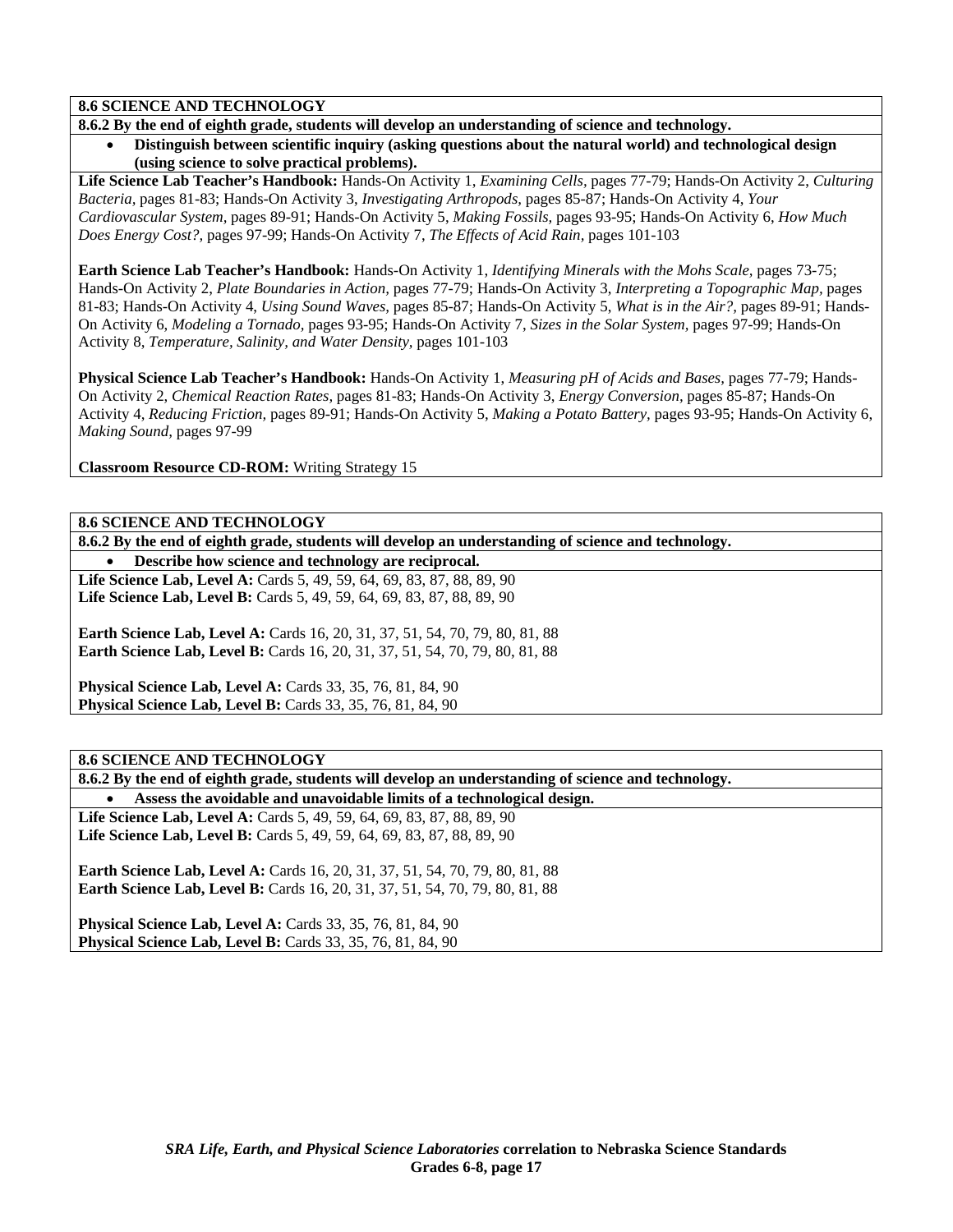# **8.6 SCIENCE AND TECHNOLOGY**

**8.6.2 By the end of eighth grade, students will develop an understanding of science and technology.** 

• **Distinguish between scientific inquiry (asking questions about the natural world) and technological design (using science to solve practical problems).** 

**Life Science Lab Teacher's Handbook:** Hands-On Activity 1, *Examining Cells,* pages 77-79; Hands-On Activity 2, *Culturing Bacteria,* pages 81-83; Hands-On Activity 3, *Investigating Arthropods,* pages 85-87; Hands-On Activity 4, *Your Cardiovascular System,* pages 89-91; Hands-On Activity 5, *Making Fossils,* pages 93-95; Hands-On Activity 6, *How Much Does Energy Cost?,* pages 97-99; Hands-On Activity 7, *The Effects of Acid Rain,* pages 101-103

**Earth Science Lab Teacher's Handbook:** Hands-On Activity 1, *Identifying Minerals with the Mohs Scale,* pages 73-75; Hands-On Activity 2, *Plate Boundaries in Action,* pages 77-79; Hands-On Activity 3, *Interpreting a Topographic Map,* pages 81-83; Hands-On Activity 4, *Using Sound Waves,* pages 85-87; Hands-On Activity 5, *What is in the Air?,* pages 89-91; Hands-On Activity 6, *Modeling a Tornado,* pages 93-95; Hands-On Activity 7, *Sizes in the Solar System,* pages 97-99; Hands-On Activity 8, *Temperature, Salinity, and Water Density,* pages 101-103

**Physical Science Lab Teacher's Handbook:** Hands-On Activity 1, *Measuring pH of Acids and Bases,* pages 77-79; Hands-On Activity 2, *Chemical Reaction Rates,* pages 81-83; Hands-On Activity 3, *Energy Conversion,* pages 85-87; Hands-On Activity 4, *Reducing Friction,* pages 89-91; Hands-On Activity 5, *Making a Potato Battery,* pages 93-95; Hands-On Activity 6, *Making Sound,* pages 97-99

**Classroom Resource CD-ROM:** Writing Strategy 15

### **8.6 SCIENCE AND TECHNOLOGY**

**8.6.2 By the end of eighth grade, students will develop an understanding of science and technology.** 

• **Describe how science and technology are reciprocal. Life Science Lab, Level A:** Cards 5, 49, 59, 64, 69, 83, 87, 88, 89, 90

Life Science Lab, Level B: Cards 5, 49, 59, 64, 69, 83, 87, 88, 89, 90

**Earth Science Lab, Level A: Cards 16, 20, 31, 37, 51, 54, 70, 79, 80, 81, 88 Earth Science Lab, Level B:** Cards 16, 20, 31, 37, 51, 54, 70, 79, 80, 81, 88

**Physical Science Lab, Level A: Cards 33, 35, 76, 81, 84, 90 Physical Science Lab, Level B:** Cards 33, 35, 76, 81, 84, 90

# **8.6 SCIENCE AND TECHNOLOGY**

**8.6.2 By the end of eighth grade, students will develop an understanding of science and technology.** 

• **Assess the avoidable and unavoidable limits of a technological design. Life Science Lab, Level A:** Cards 5, 49, 59, 64, 69, 83, 87, 88, 89, 90 Life Science Lab, Level B: Cards 5, 49, 59, 64, 69, 83, 87, 88, 89, 90

**Earth Science Lab, Level A: Cards 16, 20, 31, 37, 51, 54, 70, 79, 80, 81, 88 Earth Science Lab, Level B:** Cards 16, 20, 31, 37, 51, 54, 70, 79, 80, 81, 88

**Physical Science Lab, Level A: Cards 33, 35, 76, 81, 84, 90 Physical Science Lab, Level B:** Cards 33, 35, 76, 81, 84, 90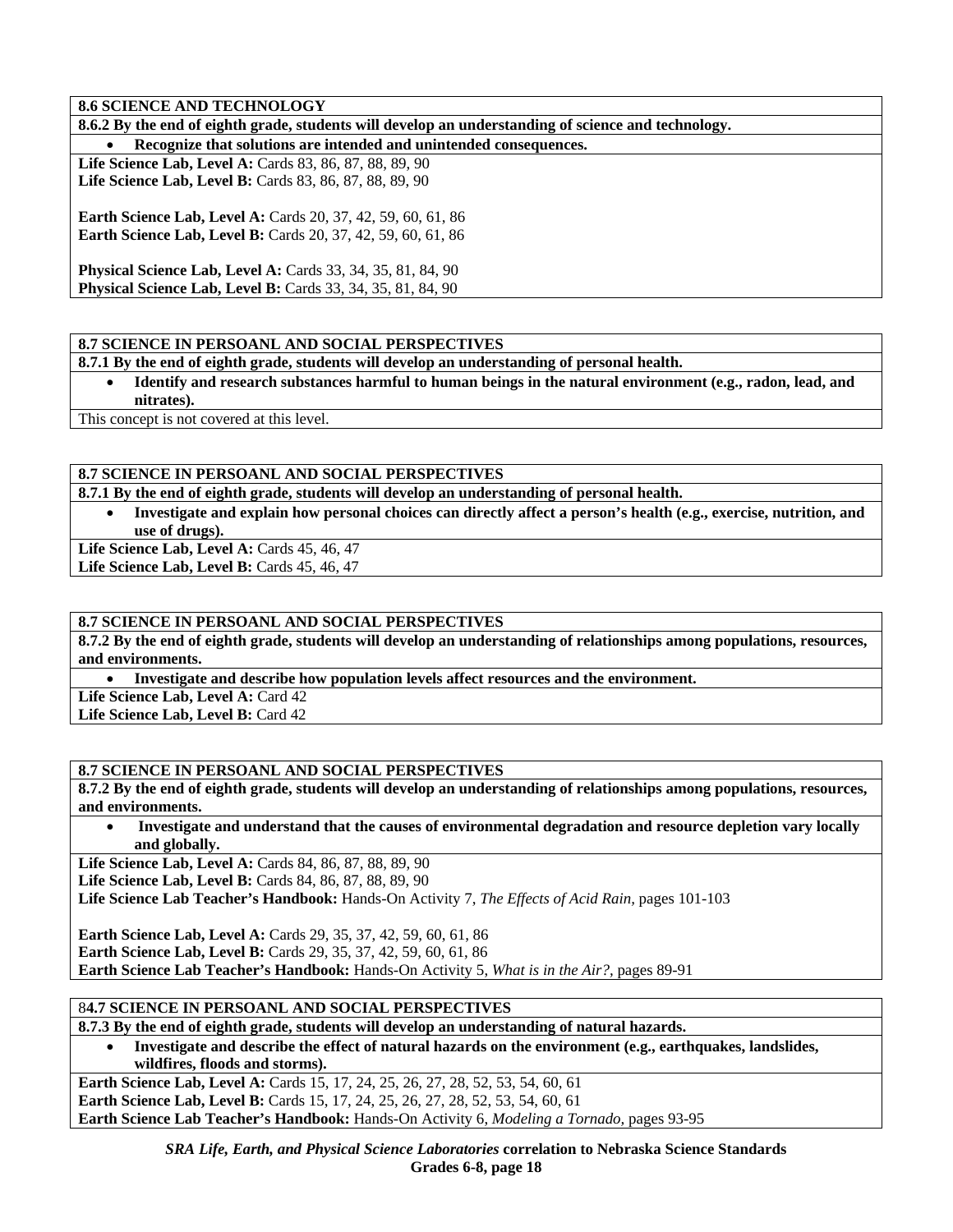### **8.6 SCIENCE AND TECHNOLOGY**

**8.6.2 By the end of eighth grade, students will develop an understanding of science and technology.** 

• **Recognize that solutions are intended and unintended consequences.** 

**Life Science Lab, Level A:** Cards 83, 86, 87, 88, 89, 90 Life Science Lab, Level B: Cards 83, 86, 87, 88, 89, 90

**Earth Science Lab, Level A:** Cards 20, 37, 42, 59, 60, 61, 86 **Earth Science Lab, Level B:** Cards 20, 37, 42, 59, 60, 61, 86

**Physical Science Lab, Level A: Cards 33, 34, 35, 81, 84, 90 Physical Science Lab, Level B:** Cards 33, 34, 35, 81, 84, 90

### **8.7 SCIENCE IN PERSOANL AND SOCIAL PERSPECTIVES**

**8.7.1 By the end of eighth grade, students will develop an understanding of personal health.** 

• **Identify and research substances harmful to human beings in the natural environment (e.g., radon, lead, and nitrates).** 

This concept is not covered at this level.

# **8.7 SCIENCE IN PERSOANL AND SOCIAL PERSPECTIVES**

**8.7.1 By the end of eighth grade, students will develop an understanding of personal health.** 

• **Investigate and explain how personal choices can directly affect a person's health (e.g., exercise, nutrition, and use of drugs).** 

Life Science Lab, Level A: Cards 45, 46, 47

Life Science Lab, Level B: Cards 45, 46, 47

#### **8.7 SCIENCE IN PERSOANL AND SOCIAL PERSPECTIVES**

**8.7.2 By the end of eighth grade, students will develop an understanding of relationships among populations, resources, and environments.** 

• **Investigate and describe how population levels affect resources and the environment.** 

Life Science Lab, Level A: Card 42

Life Science Lab, Level B: Card 42

### **8.7 SCIENCE IN PERSOANL AND SOCIAL PERSPECTIVES**

**8.7.2 By the end of eighth grade, students will develop an understanding of relationships among populations, resources, and environments.** 

• **Investigate and understand that the causes of environmental degradation and resource depletion vary locally and globally.** 

Life Science Lab, Level A: Cards 84, 86, 87, 88, 89, 90

Life Science Lab, Level B: Cards 84, 86, 87, 88, 89, 90

**Life Science Lab Teacher's Handbook:** Hands-On Activity 7, *The Effects of Acid Rain,* pages 101-103

**Earth Science Lab, Level A:** Cards 29, 35, 37, 42, 59, 60, 61, 86 **Earth Science Lab, Level B:** Cards 29, 35, 37, 42, 59, 60, 61, 86 **Earth Science Lab Teacher's Handbook:** Hands-On Activity 5, *What is in the Air?,* pages 89-91

### 8**4.7 SCIENCE IN PERSOANL AND SOCIAL PERSPECTIVES**

**8.7.3 By the end of eighth grade, students will develop an understanding of natural hazards.** 

• **Investigate and describe the effect of natural hazards on the environment (e.g., earthquakes, landslides, wildfires, floods and storms).** 

**Earth Science Lab, Level A:** Cards 15, 17, 24, 25, 26, 27, 28, 52, 53, 54, 60, 61

**Earth Science Lab, Level B:** Cards 15, 17, 24, 25, 26, 27, 28, 52, 53, 54, 60, 61

**Earth Science Lab Teacher's Handbook:** Hands-On Activity 6, *Modeling a Tornado,* pages 93-95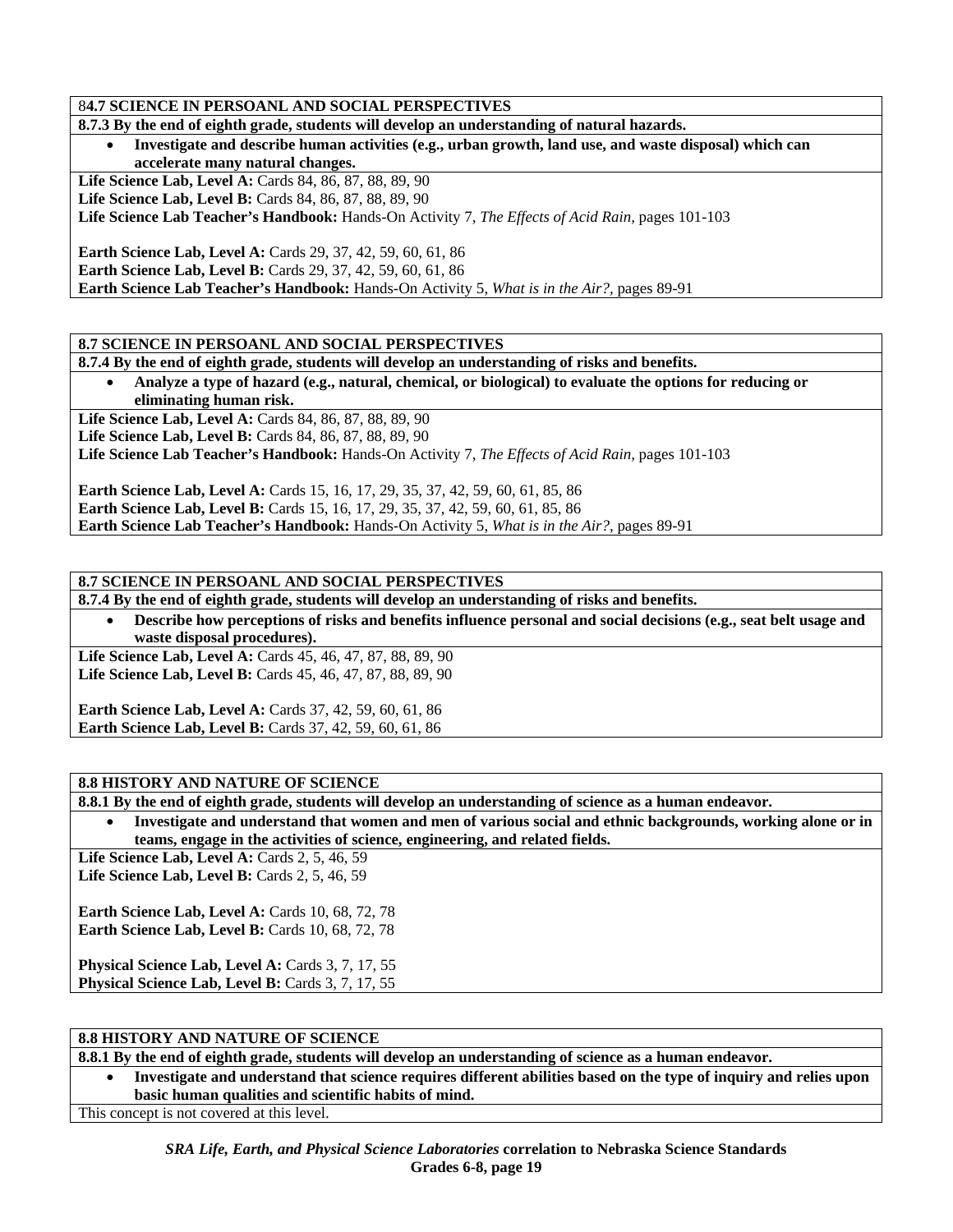### 8**4.7 SCIENCE IN PERSOANL AND SOCIAL PERSPECTIVES**

|  |  |  | 8.7.3 By the end of eighth grade, students will develop an understanding of natural hazards. |
|--|--|--|----------------------------------------------------------------------------------------------|
|  |  |  |                                                                                              |

• **Investigate and describe human activities (e.g., urban growth, land use, and waste disposal) which can accelerate many natural changes.** 

Life Science Lab, Level A: Cards 84, 86, 87, 88, 89, 90 Life Science Lab, Level B: Cards 84, 86, 87, 88, 89, 90

**Life Science Lab Teacher's Handbook:** Hands-On Activity 7, *The Effects of Acid Rain,* pages 101-103

**Earth Science Lab, Level A:** Cards 29, 37, 42, 59, 60, 61, 86 **Earth Science Lab, Level B:** Cards 29, 37, 42, 59, 60, 61, 86 **Earth Science Lab Teacher's Handbook:** Hands-On Activity 5, *What is in the Air?,* pages 89-91

### **8.7 SCIENCE IN PERSOANL AND SOCIAL PERSPECTIVES**

**8.7.4 By the end of eighth grade, students will develop an understanding of risks and benefits.** 

• **Analyze a type of hazard (e.g., natural, chemical, or biological) to evaluate the options for reducing or eliminating human risk.** 

Life Science Lab, Level A: Cards 84, 86, 87, 88, 89, 90

Life Science Lab, Level B: Cards 84, 86, 87, 88, 89, 90

**Life Science Lab Teacher's Handbook:** Hands-On Activity 7, *The Effects of Acid Rain,* pages 101-103

**Earth Science Lab, Level A:** Cards 15, 16, 17, 29, 35, 37, 42, 59, 60, 61, 85, 86 **Earth Science Lab, Level B:** Cards 15, 16, 17, 29, 35, 37, 42, 59, 60, 61, 85, 86 **Earth Science Lab Teacher's Handbook:** Hands-On Activity 5, *What is in the Air?,* pages 89-91

### **8.7 SCIENCE IN PERSOANL AND SOCIAL PERSPECTIVES**

**8.7.4 By the end of eighth grade, students will develop an understanding of risks and benefits.** 

• **Describe how perceptions of risks and benefits influence personal and social decisions (e.g., seat belt usage and waste disposal procedures).** 

Life Science Lab, Level A: Cards 45, 46, 47, 87, 88, 89, 90 **Life Science Lab, Level B:** Cards 45, 46, 47, 87, 88, 89, 90

**Earth Science Lab, Level A: Cards 37, 42, 59, 60, 61, 86 Earth Science Lab, Level B:** Cards 37, 42, 59, 60, 61, 86

#### **8.8 HISTORY AND NATURE OF SCIENCE**

**8.8.1 By the end of eighth grade, students will develop an understanding of science as a human endeavor.** 

• **Investigate and understand that women and men of various social and ethnic backgrounds, working alone or in teams, engage in the activities of science, engineering, and related fields.** 

**Life Science Lab, Level A:** Cards 2, 5, 46, 59 Life Science Lab, Level B: Cards 2, 5, 46, 59

**Earth Science Lab, Level A: Cards 10, 68, 72, 78 Earth Science Lab, Level B: Cards 10, 68, 72, 78** 

Physical Science Lab, Level A: Cards 3, 7, 17, 55 Physical Science Lab, Level B: Cards 3, 7, 17, 55

#### **8.8 HISTORY AND NATURE OF SCIENCE**

**8.8.1 By the end of eighth grade, students will develop an understanding of science as a human endeavor.** 

• **Investigate and understand that science requires different abilities based on the type of inquiry and relies upon basic human qualities and scientific habits of mind.** 

This concept is not covered at this level.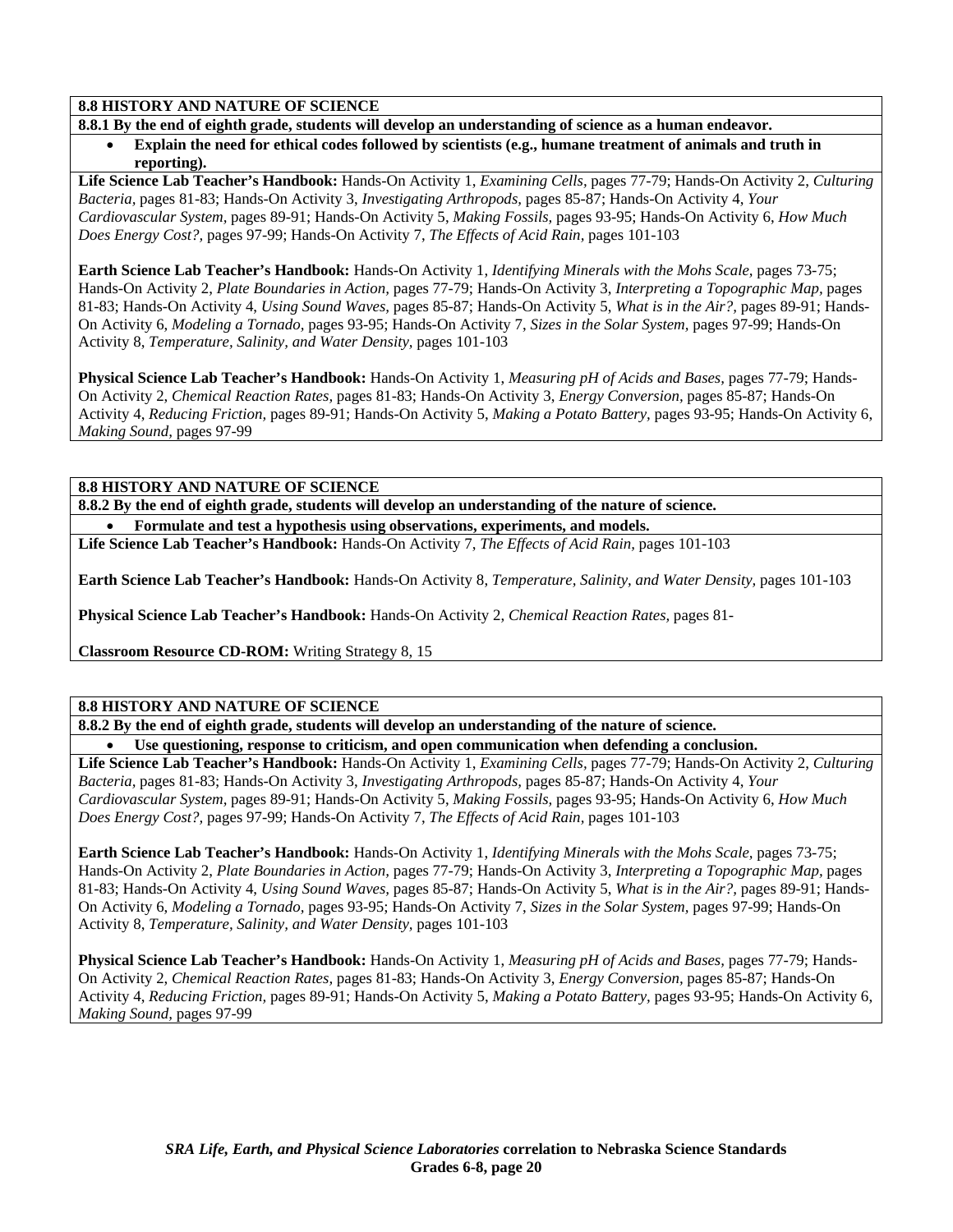# **8.8 HISTORY AND NATURE OF SCIENCE**

**8.8.1 By the end of eighth grade, students will develop an understanding of science as a human endeavor.** 

• **Explain the need for ethical codes followed by scientists (e.g., humane treatment of animals and truth in reporting).** 

**Life Science Lab Teacher's Handbook:** Hands-On Activity 1, *Examining Cells,* pages 77-79; Hands-On Activity 2, *Culturing Bacteria,* pages 81-83; Hands-On Activity 3, *Investigating Arthropods,* pages 85-87; Hands-On Activity 4, *Your Cardiovascular System,* pages 89-91; Hands-On Activity 5, *Making Fossils,* pages 93-95; Hands-On Activity 6, *How Much Does Energy Cost?,* pages 97-99; Hands-On Activity 7, *The Effects of Acid Rain,* pages 101-103

**Earth Science Lab Teacher's Handbook:** Hands-On Activity 1, *Identifying Minerals with the Mohs Scale,* pages 73-75; Hands-On Activity 2, *Plate Boundaries in Action,* pages 77-79; Hands-On Activity 3, *Interpreting a Topographic Map,* pages 81-83; Hands-On Activity 4, *Using Sound Waves,* pages 85-87; Hands-On Activity 5, *What is in the Air?,* pages 89-91; Hands-On Activity 6, *Modeling a Tornado,* pages 93-95; Hands-On Activity 7, *Sizes in the Solar System,* pages 97-99; Hands-On Activity 8, *Temperature, Salinity, and Water Density,* pages 101-103

**Physical Science Lab Teacher's Handbook:** Hands-On Activity 1, *Measuring pH of Acids and Bases,* pages 77-79; Hands-On Activity 2, *Chemical Reaction Rates,* pages 81-83; Hands-On Activity 3, *Energy Conversion,* pages 85-87; Hands-On Activity 4, *Reducing Friction,* pages 89-91; Hands-On Activity 5, *Making a Potato Battery,* pages 93-95; Hands-On Activity 6, *Making Sound,* pages 97-99

**8.8 HISTORY AND NATURE OF SCIENCE** 

**8.8.2 By the end of eighth grade, students will develop an understanding of the nature of science.**  • **Formulate and test a hypothesis using observations, experiments, and models.** 

**Life Science Lab Teacher's Handbook:** Hands-On Activity 7, *The Effects of Acid Rain,* pages 101-103

**Earth Science Lab Teacher's Handbook:** Hands-On Activity 8, *Temperature, Salinity, and Water Density,* pages 101-103

**Physical Science Lab Teacher's Handbook:** Hands-On Activity 2, *Chemical Reaction Rates,* pages 81-

**Classroom Resource CD-ROM:** Writing Strategy 8, 15

### **8.8 HISTORY AND NATURE OF SCIENCE**

**8.8.2 By the end of eighth grade, students will develop an understanding of the nature of science.** 

• **Use questioning, response to criticism, and open communication when defending a conclusion.** 

**Life Science Lab Teacher's Handbook:** Hands-On Activity 1, *Examining Cells,* pages 77-79; Hands-On Activity 2, *Culturing Bacteria,* pages 81-83; Hands-On Activity 3, *Investigating Arthropods,* pages 85-87; Hands-On Activity 4, *Your Cardiovascular System,* pages 89-91; Hands-On Activity 5, *Making Fossils,* pages 93-95; Hands-On Activity 6, *How Much Does Energy Cost?,* pages 97-99; Hands-On Activity 7, *The Effects of Acid Rain,* pages 101-103

**Earth Science Lab Teacher's Handbook:** Hands-On Activity 1, *Identifying Minerals with the Mohs Scale,* pages 73-75; Hands-On Activity 2, *Plate Boundaries in Action,* pages 77-79; Hands-On Activity 3, *Interpreting a Topographic Map,* pages 81-83; Hands-On Activity 4, *Using Sound Waves,* pages 85-87; Hands-On Activity 5, *What is in the Air?,* pages 89-91; Hands-On Activity 6, *Modeling a Tornado,* pages 93-95; Hands-On Activity 7, *Sizes in the Solar System,* pages 97-99; Hands-On Activity 8, *Temperature, Salinity, and Water Density,* pages 101-103

**Physical Science Lab Teacher's Handbook:** Hands-On Activity 1, *Measuring pH of Acids and Bases,* pages 77-79; Hands-On Activity 2, *Chemical Reaction Rates,* pages 81-83; Hands-On Activity 3, *Energy Conversion,* pages 85-87; Hands-On Activity 4, *Reducing Friction,* pages 89-91; Hands-On Activity 5, *Making a Potato Battery,* pages 93-95; Hands-On Activity 6, *Making Sound,* pages 97-99